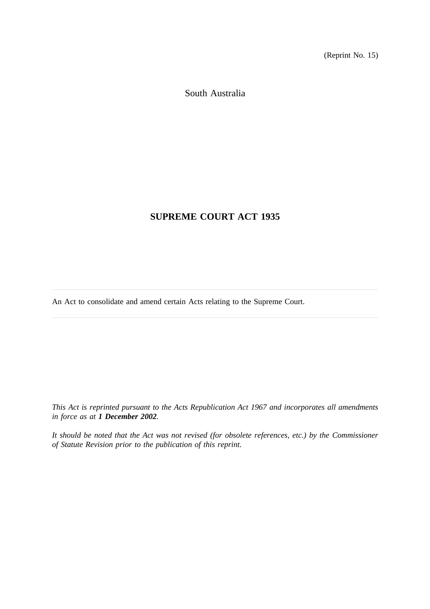(Reprint No. 15)

South Australia

# **SUPREME COURT ACT 1935**

An Act to consolidate and amend certain Acts relating to the Supreme Court.

*This Act is reprinted pursuant to the Acts Republication Act 1967 and incorporates all amendments in force as at 1 December 2002.*

*It should be noted that the Act was not revised (for obsolete references, etc.) by the Commissioner of Statute Revision prior to the publication of this reprint.*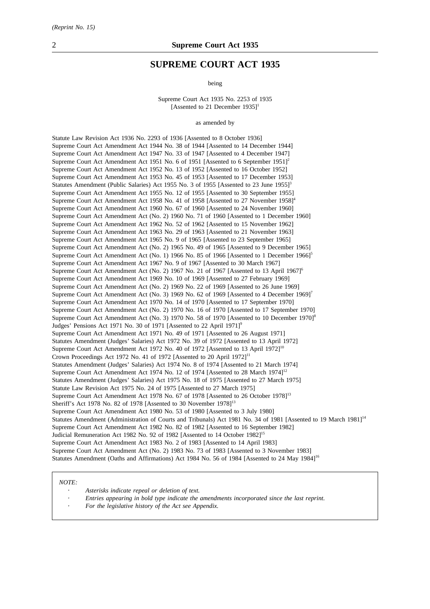## **SUPREME COURT ACT 1935**

being

Supreme Court Act 1935 No. 2253 of 1935 [Assented to 21 December  $1935$ ]<sup>1</sup>

as amended by

Statute Law Revision Act 1936 No. 2293 of 1936 [Assented to 8 October 1936] Supreme Court Act Amendment Act 1944 No. 38 of 1944 [Assented to 14 December 1944] Supreme Court Act Amendment Act 1947 No. 33 of 1947 [Assented to 4 December 1947] Supreme Court Act Amendment Act 1951 No. 6 of 1951 [Assented to 6 September 1951]<sup>2</sup> Supreme Court Act Amendment Act 1952 No. 13 of 1952 [Assented to 16 October 1952] Supreme Court Act Amendment Act 1953 No. 45 of 1953 [Assented to 17 December 1953] Statutes Amendment (Public Salaries) Act 1955 No. 3 of 1955 [Assented to 23 June 1955]<sup>3</sup> Supreme Court Act Amendment Act 1955 No. 12 of 1955 [Assented to 30 September 1955] Supreme Court Act Amendment Act 1958 No. 41 of 1958 [Assented to 27 November 1958]<sup>4</sup> Supreme Court Act Amendment Act 1960 No. 67 of 1960 [Assented to 24 November 1960] Supreme Court Act Amendment Act (No. 2) 1960 No. 71 of 1960 [Assented to 1 December 1960] Supreme Court Act Amendment Act 1962 No. 52 of 1962 [Assented to 15 November 1962] Supreme Court Act Amendment Act 1963 No. 29 of 1963 [Assented to 21 November 1963] Supreme Court Act Amendment Act 1965 No. 9 of 1965 [Assented to 23 September 1965] Supreme Court Act Amendment Act (No. 2) 1965 No. 49 of 1965 [Assented to 9 December 1965] Supreme Court Act Amendment Act (No. 1) 1966 No. 85 of 1966 [Assented to 1 December 1966]<sup>5</sup> Supreme Court Act Amendment Act 1967 No. 9 of 1967 [Assented to 30 March 1967] Supreme Court Act Amendment Act (No. 2) 1967 No. 21 of 1967 [Assented to 13 April 1967]<sup>6</sup> Supreme Court Act Amendment Act 1969 No. 10 of 1969 [Assented to 27 February 1969] Supreme Court Act Amendment Act (No. 2) 1969 No. 22 of 1969 [Assented to 26 June 1969] Supreme Court Act Amendment Act (No. 3) 1969 No. 62 of 1969 [Assented to 4 December 1969]<sup>7</sup> Supreme Court Act Amendment Act 1970 No. 14 of 1970 [Assented to 17 September 1970] Supreme Court Act Amendment Act (No. 2) 1970 No. 16 of 1970 [Assented to 17 September 1970] Supreme Court Act Amendment Act (No. 3) 1970 No. 58 of 1970 [Assented to 10 December 1970]<sup>8</sup> Judges' Pensions Act 1971 No. 30 of 1971 [Assented to 22 April 1971]<sup>9</sup> Supreme Court Act Amendment Act 1971 No. 49 of 1971 [Assented to 26 August 1971] Statutes Amendment (Judges' Salaries) Act 1972 No. 39 of 1972 [Assented to 13 April 1972] Supreme Court Act Amendment Act 1972 No. 40 of 1972 [Assented to 13 April 1972]<sup>10</sup> Crown Proceedings Act 1972 No. 41 of 1972 [Assented to 20 April 1972]<sup>11</sup> Statutes Amendment (Judges' Salaries) Act 1974 No. 8 of 1974 [Assented to 21 March 1974] Supreme Court Act Amendment Act 1974 No. 12 of 1974 [Assented to 28 March 1974]<sup>12</sup> Statutes Amendment (Judges' Salaries) Act 1975 No. 18 of 1975 [Assented to 27 March 1975] Statute Law Revision Act 1975 No. 24 of 1975 [Assented to 27 March 1975] Supreme Court Act Amendment Act 1978 No. 67 of 1978 [Assented to 26 October 1978]<sup>13</sup> Sheriff's Act 1978 No. 82 of 1978 [Assented to 30 November 1978]<sup>13</sup> Supreme Court Act Amendment Act 1980 No. 53 of 1980 [Assented to 3 July 1980] Statutes Amendment (Administration of Courts and Tribunals) Act 1981 No. 34 of 1981 [Assented to 19 March 1981]<sup>14</sup> Supreme Court Act Amendment Act 1982 No. 82 of 1982 [Assented to 16 September 1982] Judicial Remuneration Act 1982 No. 92 of 1982 [Assented to 14 October 1982]<sup>15</sup> Supreme Court Act Amendment Act 1983 No. 2 of 1983 [Assented to 14 April 1983] Supreme Court Act Amendment Act (No. 2) 1983 No. 73 of 1983 [Assented to 3 November 1983] Statutes Amendment (Oaths and Affirmations) Act 1984 No. 56 of 1984 [Assented to 24 May 1984]<sup>16</sup>

#### *NOTE:*

*Asterisks indicate repeal or deletion of text.*

- *Entries appearing in bold type indicate the amendments incorporated since the last reprint.*
- *For the legislative history of the Act see Appendix.*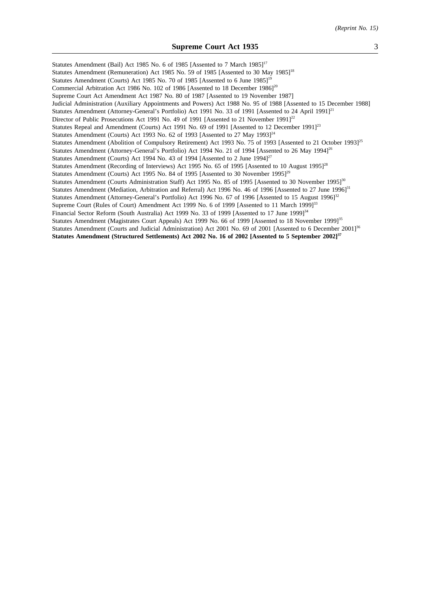Statutes Amendment (Bail) Act 1985 No. 6 of 1985 [Assented to 7 March 1985]<sup>17</sup> Statutes Amendment (Remuneration) Act 1985 No. 59 of 1985 [Assented to 30 May 1985]<sup>18</sup> Statutes Amendment (Courts) Act 1985 No. 70 of 1985 [Assented to 6 June 1985]<sup>19</sup> Commercial Arbitration Act 1986 No. 102 of 1986 [Assented to 18 December 1986]<sup>20</sup> Supreme Court Act Amendment Act 1987 No. 80 of 1987 [Assented to 19 November 1987] Judicial Administration (Auxiliary Appointments and Powers) Act 1988 No. 95 of 1988 [Assented to 15 December 1988] Statutes Amendment (Attorney-General's Portfolio) Act 1991 No. 33 of 1991 [Assented to 24 April 1991]<sup>21</sup> Director of Public Prosecutions Act 1991 No. 49 of 1991 [Assented to 21 November 1991]<sup>22</sup> Statutes Repeal and Amendment (Courts) Act 1991 No. 69 of 1991 [Assented to 12 December 1991]<sup>23</sup> Statutes Amendment (Courts) Act 1993 No. 62 of 1993 [Assented to 27 May 1993] $^{24}$ Statutes Amendment (Abolition of Compulsory Retirement) Act 1993 No. 75 of 1993 [Assented to 21 October 1993]<sup>25</sup> Statutes Amendment (Attorney-General's Portfolio) Act 1994 No. 21 of 1994 [Assented to 26 May 1994]<sup>26</sup> Statutes Amendment (Courts) Act 1994 No. 43 of 1994 [Assented to 2 June 1994]<sup>27</sup> Statutes Amendment (Recording of Interviews) Act 1995 No. 65 of 1995 [Assented to 10 August 1995]<sup>28</sup> Statutes Amendment (Courts) Act 1995 No. 84 of 1995 [Assented to 30 November 1995]<sup>29</sup> Statutes Amendment (Courts Administration Staff) Act 1995 No. 85 of 1995 [Assented to 30 November 1995]<sup>30</sup> Statutes Amendment (Mediation, Arbitration and Referral) Act 1996 No. 46 of 1996 [Assented to 27 June 1996]<sup>31</sup> Statutes Amendment (Attorney-General's Portfolio) Act 1996 No. 67 of 1996 [Assented to 15 August 1996]<sup>32</sup> Supreme Court (Rules of Court) Amendment Act 1999 No. 6 of 1999 [Assented to 11 March 1999]<sup>33</sup> Financial Sector Reform (South Australia) Act 1999 No. 33 of 1999 [Assented to 17 June 1999]<sup>34</sup> Statutes Amendment (Magistrates Court Appeals) Act 1999 No. 66 of 1999 [Assented to 18 November 1999]<sup>35</sup> Statutes Amendment (Courts and Judicial Administration) Act 2001 No. 69 of 2001 [Assented to 6 December 2001]<sup>36</sup> **Statutes Amendment (Structured Settlements) Act 2002 No. 16 of 2002 [Assented to 5 September 2002]37**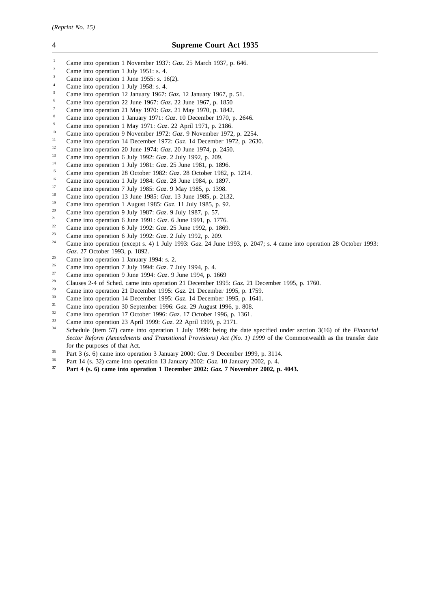- <sup>1</sup> Came into operation 1 November 1937: *Gaz*. 25 March 1937, p. 646.
- <sup>2</sup> Came into operation 1 July 1951: s. 4.
- $\frac{3}{4}$  Came into operation 1 June 1955: s. 16(2).
- Came into operation 1 July 1958: s. 4.
- <sup>5</sup> Came into operation 12 January 1967: *Gaz*. 12 January 1967, p. 51.
- <sup>6</sup> Came into operation 22 June 1967: *Gaz*. 22 June 1967, p. 1850
- <sup>7</sup> Came into operation 21 May 1970: *Gaz*. 21 May 1970, p. 1842.
- <sup>8</sup> Came into operation 1 January 1971: *Gaz*. 10 December 1970, p. 2646.
- <sup>9</sup> Came into operation 1 May 1971: *Gaz*. 22 April 1971, p. 2186.
- <sup>10</sup> Came into operation 9 November 1972: *Gaz*. 9 November 1972, p. 2254.
- <sup>11</sup> Came into operation 14 December 1972: *Gaz*. 14 December 1972, p. 2630.<br><sup>12</sup> Came into operation 20 June 1974: *Caz*. 20 June 1974, p. 2450.
- <sup>12</sup> Came into operation 20 June 1974: *Gaz*. 20 June 1974, p. 2450.<br><sup>13</sup> Came into a paration 6 July 1993: *G*<sub>re</sub> 2 July 1993, p. 299.
- <sup>13</sup> Came into operation 6 July 1992: *Gaz*. 2 July 1992, p. 209.
- <sup>14</sup> Came into operation 1 July 1981: *Gaz*. 25 June 1981, p. 1896.
- <sup>15</sup> Came into operation 28 October 1982: *Gaz.* 28 October 1982, p. 1214.
- <sup>16</sup> Came into operation 1 July 1984: *Gaz.* 28 June 1984, p. 1897.
- <sup>17</sup> Came into operation 7 July 1985: *Gaz*. 9 May 1985, p. 1398.<br><sup>18</sup> Came into operation 13 June 1985: *Gaz*. 13 June 1985, p. 21
- <sup>18</sup> Came into operation 13 June 1985: *Gaz*. 13 June 1985, p. 2132.
- <sup>19</sup> Came into operation 1 August 1985: *Gaz*. 11 July 1985, p. 92.<br><sup>20</sup> Came into operation 9 July 1987: *Gaz*. 9 July 1987, p. 57
- <sup>20</sup> Came into operation 9 July 1987: *Gaz*. 9 July 1987, p. 57.
- <sup>21</sup> Came into operation 6 June 1991: *Gaz*. 6 June 1991, p. 1776.
- <sup>22</sup> Came into operation 6 July 1992: *Gaz*. 25 June 1992, p. 1869.
- <sup>23</sup> Came into operation 6 July 1992: *Gaz*. 2 July 1992, p. 209.
- <sup>24</sup> Came into operation (except s. 4) 1 July 1993: *Gaz*. 24 June 1993, p. 2047; s. 4 came into operation 28 October 1993: *Gaz*. 27 October 1993, p. 1892.
- <sup>25</sup> Came into operation 1 January 1994: s. 2.<br>
<sup>26</sup> Came into operation 7 July 1994:  $G = 7.1$
- <sup>26</sup> Came into operation 7 July 1994: *Gaz*. 7 July 1994, p. 4.
- <sup>27</sup> Came into operation 9 June 1994: *Gaz*. 9 June 1994, p. 1669
- <sup>28</sup> Clauses 2-4 of Sched. came into operation 21 December 1995: *Gaz*. 21 December 1995, p. 1760.
- <sup>29</sup> Came into operation 21 December 1995: *Gaz*. 21 December 1995, p. 1759.
- <sup>30</sup> Came into operation 14 December 1995: *Gaz*. 14 December 1995, p. 1641.
- <sup>31</sup> Came into operation 30 September 1996: *Gaz*. 29 August 1996, p. 808.<br> *Came into operation 17 October 1996: <i>Gaz*. 17 October 1996, p. 1361
- <sup>32</sup> Came into operation 17 October 1996: *Gaz*. 17 October 1996, p. 1361.<br><sup>33</sup> Came into operation 22 April 1999: *Gaz*. 22 April 1999 p. 2171.
- <sup>33</sup> Came into operation 23 April 1999: *Gaz*. 22 April 1999, p. 2171.
- <sup>34</sup> Schedule (item 57) came into operation 1 July 1999: being the date specified under section 3(16) of the *Financial Sector Reform (Amendments and Transitional Provisions) Act (No. 1) 1999* of the Commonwealth as the transfer date for the purposes of that Act.
- <sup>35</sup> Part 3 (s. 6) came into operation 3 January 2000: *Gaz*. 9 December 1999, p. 3114.
- <sup>36</sup> Part 14 (s. 32) came into operation 13 January 2002: *Gaz*. 10 January 2002, p. 4.<br><sup>37</sup> Part 4 (s. 6) came into operation 1 Desember 2002: *Ggz*. 7 Nexamber 2002, p.
- **<sup>37</sup> Part 4 (s. 6) came into operation 1 December 2002:** *Gaz***. 7 November 2002, p. 4043.**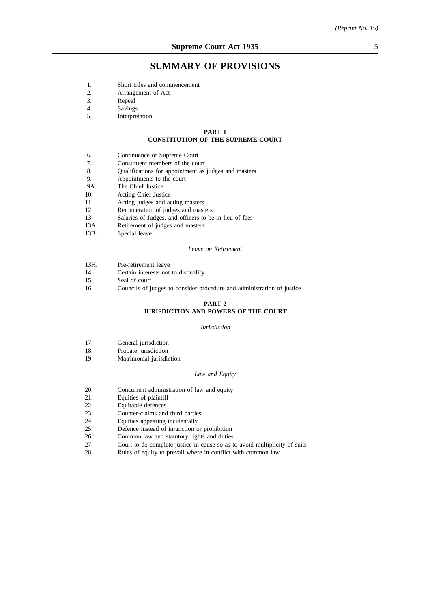## **SUMMARY OF PROVISIONS**

- 1. Short titles and commencement
- 2. Arrangement of Act
- 3. Repeal
- 4. Savings<br>5. Interpret
- Interpretation

#### **PART 1**

#### **CONSTITUTION OF THE SUPREME COURT**

- 6. Continuance of Supreme Court
- 7. Constituent members of the court
- 8. Qualifications for appointment as judges and masters
- 9. Appointments to the court
- 9A. The Chief Justice
- 10. Acting Chief Justice
- 11. Acting judges and acting masters<br>12. Remuneration of judges and mast
- Remuneration of judges and masters
- 13. Salaries of Judges, and officers to be in lieu of fees 13A. Retirement of judges and masters
- Retirement of judges and masters
- 13B. Special leave

#### *Leave on Retirement*

- 13H. Pre-retirement leave
- 14. Certain interests not to disqualify<br>15. Seal of court
- Seal of court
- 16. Councils of judges to consider procedure and administration of justice

#### **PART 2 JURISDICTION AND POWERS OF THE COURT**

#### *Jurisdiction*

- 17. General jurisdiction
- 18. Probate jurisdiction
- 19. Matrimonial jurisdiction

#### *Law and Equity*

- 20. Concurrent administration of law and equity
- 21. Equities of plaintiff
- 22. Equitable defences<br>23. Counter-claims and
- Counter-claims and third parties
- 24. Equities appearing incidentally
- 25. Defence instead of injunction or prohibition
- 26. Common law and statutory rights and duties
- 27. Court to do complete justice in cause so as to avoid multiplicity of suits
- 28. Rules of equity to prevail where in conflict with common law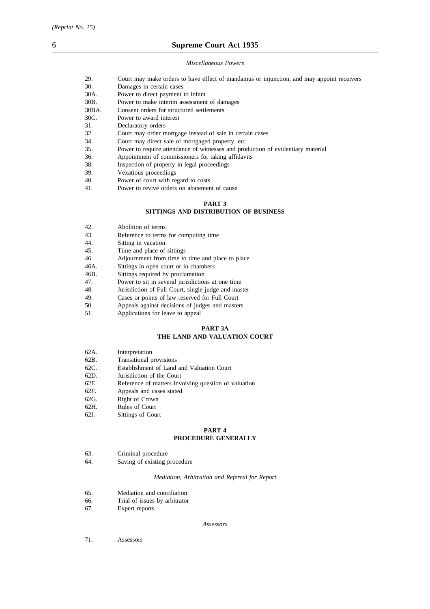## 6 **Supreme Court Act 1935**

*Miscellaneous Powers*

| 29.               | Court may make orders to have effect of mandamus or injunction, and may appoint receivers                             |
|-------------------|-----------------------------------------------------------------------------------------------------------------------|
| 30.               | Damages in certain cases                                                                                              |
| 30A.              | Power to direct payment to infant                                                                                     |
| 30 <sub>B</sub> . | Power to make interim assessment of damages                                                                           |
| 30BA.             | Consent orders for structured settlements                                                                             |
| 30C.              | Power to award interest                                                                                               |
| 31.               | Declaratory orders                                                                                                    |
| 32.               | Court may order mortgage instead of sale in certain cases                                                             |
| 34.               | Court may direct sale of mortgaged property, etc.                                                                     |
| 35.               | Power to require attendance of witnesses and production of evidentiary material                                       |
| 36.               | Appointment of commissioners for taking affidavits                                                                    |
| 38.               | Inspection of property in legal proceedings                                                                           |
| 39.               | Vexatious proceedings                                                                                                 |
| $\Lambda$         | <b>n</b> contact in the contact of the contact of the contact of the contact of the contact of the contact of the con |

40. Power of court with regard to costs

## 41. Power to revive orders on abatement of cause

#### **PART 3**

## **SITTINGS AND DISTRIBUTION OF BUSINESS**

- 42. Abolition of terms
- 43. Reference to terms for computing time
- 44. Sitting in vacation<br>45. Time and place of
- 45. Time and place of sittings<br>46. Adiournment from time to
- 46. Adjournment from time to time and place to place 46A. Sittings in open court or in chambers
- Sittings in open court or in chambers
- 46B. Sittings required by proclamation
- 47. Power to sit in several jurisdictions at one time
- 48. Jurisdiction of Full Court, single judge and master
- 49. Cases or points of law reserved for Full Court<br>50. Appeals against decisions of judges and master
- 50. Appeals against decisions of judges and masters<br>51. Applications for leave to appeal
- Applications for leave to appeal

# **PART 3A**

## **THE LAND AND VALUATION COURT**

| 62A.<br>Interpretation |
|------------------------|
|------------------------|

- 62B. Transitional provisions<br>62C. Establishment of Land
- Establishment of Land and Valuation Court
- 62D. Jurisdiction of the Court
- 62E. Reference of matters involving question of valuation
- 62F. Appeals and cases stated
- 62G. Right of Crown<br>62H. Rules of Court
- Rules of Court
- 62I. Sittings of Court

#### **PART 4 PROCEDURE GENERALLY**

- 63. Criminal procedure
- 64. Saving of existing procedure

#### *Mediation, Arbitration and Referral for Report*

- 65. Mediation and conciliation
- 66. Trial of issues by arbitrator
- 67. Expert reports

#### *Assessors*

71. Assessors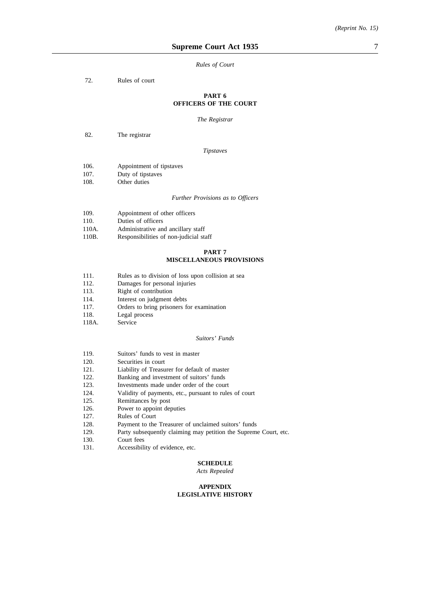#### *Rules of Court*

72. Rules of court

### **PART 6 OFFICERS OF THE COURT**

*The Registrar*

82. The registrar

#### *Tipstaves*

| 106. | Appointment of tipstaves |  |
|------|--------------------------|--|
|      |                          |  |

- 107. Duty of tipstaves
- 108. Other duties

#### *Further Provisions as to Officers*

| 109. | Appointment of other officers |
|------|-------------------------------|
|------|-------------------------------|

- 110. Duties of officers
- 110A. Administrative and ancillary staff<br>110B. Responsibilities of non-indicial sta
- Responsibilities of non-judicial staff

#### **PART 7**

### **MISCELLANEOUS PROVISIONS**

- 111. Rules as to division of loss upon collision at sea
- 112. Damages for personal injuries<br>113. Right of contribution
- Right of contribution
- 114. Interest on judgment debts<br>117. Orders to bring prisoners for
- Orders to bring prisoners for examination
- 118. Legal process
- 118A. Service

#### *Suitors' Funds*

- 119. Suitors' funds to vest in master<br>120. Securities in court
- Securities in court
- 121. Liability of Treasurer for default of master
- 122. Banking and investment of suitors' funds
- 123. Investments made under order of the court
- 124. Validity of payments, etc., pursuant to rules of court 125. Remittances by post
- 125. Remittances by post<br>126. Power to appoint details
- Power to appoint deputies
- 127. Rules of Court
- 128. Payment to the Treasurer of unclaimed suitors' funds
- 129. Party subsequently claiming may petition the Supreme Court, etc.
- 130. Court fees<br>131. Accessibili
- Accessibility of evidence, etc.

### **SCHEDULE**

*Acts Repealed*

#### **APPENDIX LEGISLATIVE HISTORY**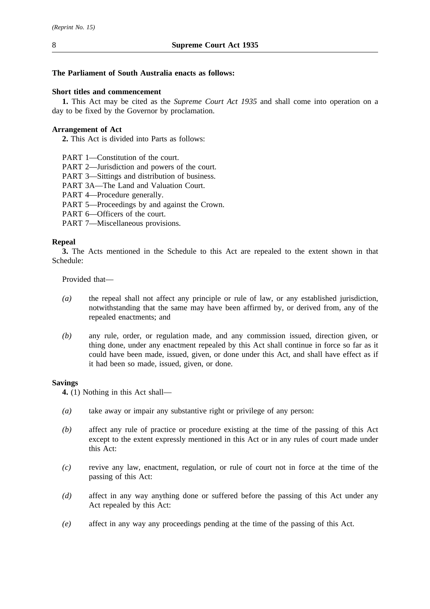## **The Parliament of South Australia enacts as follows:**

## **Short titles and commencement**

**1.** This Act may be cited as the *Supreme Court Act 1935* and shall come into operation on a day to be fixed by the Governor by proclamation.

## **Arrangement of Act**

**2.** This Act is divided into Parts as follows:

- PART 1—Constitution of the court.
- PART 2—Jurisdiction and powers of the court.
- PART 3—Sittings and distribution of business.
- PART 3A—The Land and Valuation Court.
- PART 4—Procedure generally.
- PART 5—Proceedings by and against the Crown.
- PART 6—Officers of the court.
- PART 7—Miscellaneous provisions.

## **Repeal**

**3.** The Acts mentioned in the Schedule to this Act are repealed to the extent shown in that Schedule:

Provided that—

- *(a)* the repeal shall not affect any principle or rule of law, or any established jurisdiction, notwithstanding that the same may have been affirmed by, or derived from, any of the repealed enactments; and
- *(b)* any rule, order, or regulation made, and any commission issued, direction given, or thing done, under any enactment repealed by this Act shall continue in force so far as it could have been made, issued, given, or done under this Act, and shall have effect as if it had been so made, issued, given, or done.

### **Savings**

**4.** (1) Nothing in this Act shall—

- *(a)* take away or impair any substantive right or privilege of any person:
- *(b)* affect any rule of practice or procedure existing at the time of the passing of this Act except to the extent expressly mentioned in this Act or in any rules of court made under this Act:
- *(c)* revive any law, enactment, regulation, or rule of court not in force at the time of the passing of this Act:
- *(d)* affect in any way anything done or suffered before the passing of this Act under any Act repealed by this Act:
- *(e)* affect in any way any proceedings pending at the time of the passing of this Act.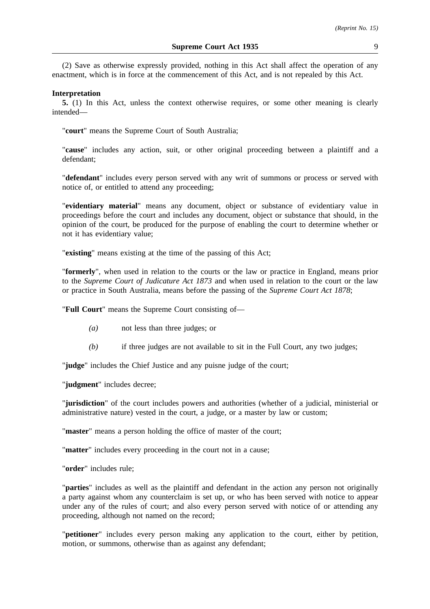(2) Save as otherwise expressly provided, nothing in this Act shall affect the operation of any enactment, which is in force at the commencement of this Act, and is not repealed by this Act.

#### **Interpretation**

**5.** (1) In this Act, unless the context otherwise requires, or some other meaning is clearly intended—

"**court**" means the Supreme Court of South Australia;

"**cause**" includes any action, suit, or other original proceeding between a plaintiff and a defendant;

"**defendant**" includes every person served with any writ of summons or process or served with notice of, or entitled to attend any proceeding;

"**evidentiary material**" means any document, object or substance of evidentiary value in proceedings before the court and includes any document, object or substance that should, in the opinion of the court, be produced for the purpose of enabling the court to determine whether or not it has evidentiary value;

"**existing**" means existing at the time of the passing of this Act;

"**formerly**", when used in relation to the courts or the law or practice in England, means prior to the *Supreme Court of Judicature Act 1873* and when used in relation to the court or the law or practice in South Australia, means before the passing of the *Supreme Court Act 1878*;

"**Full Court**" means the Supreme Court consisting of—

- *(a)* not less than three judges; or
- *(b)* if three judges are not available to sit in the Full Court, any two judges;

"**judge**" includes the Chief Justice and any puisne judge of the court;

"**judgment**" includes decree;

"**jurisdiction**" of the court includes powers and authorities (whether of a judicial, ministerial or administrative nature) vested in the court, a judge, or a master by law or custom;

"**master**" means a person holding the office of master of the court;

"**matter**" includes every proceeding in the court not in a cause;

"**order**" includes rule;

"**parties**" includes as well as the plaintiff and defendant in the action any person not originally a party against whom any counterclaim is set up, or who has been served with notice to appear under any of the rules of court; and also every person served with notice of or attending any proceeding, although not named on the record;

"**petitioner**" includes every person making any application to the court, either by petition, motion, or summons, otherwise than as against any defendant;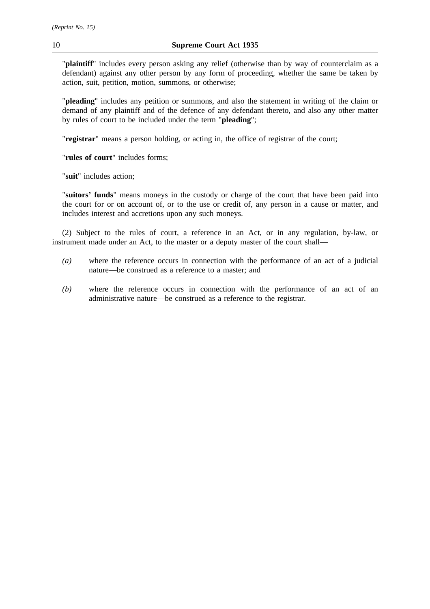"**plaintiff**" includes every person asking any relief (otherwise than by way of counterclaim as a defendant) against any other person by any form of proceeding, whether the same be taken by action, suit, petition, motion, summons, or otherwise;

"**pleading**" includes any petition or summons, and also the statement in writing of the claim or demand of any plaintiff and of the defence of any defendant thereto, and also any other matter by rules of court to be included under the term "**pleading**";

"**registrar**" means a person holding, or acting in, the office of registrar of the court;

"**rules of court**" includes forms;

"**suit**" includes action;

"**suitors' funds**" means moneys in the custody or charge of the court that have been paid into the court for or on account of, or to the use or credit of, any person in a cause or matter, and includes interest and accretions upon any such moneys.

(2) Subject to the rules of court, a reference in an Act, or in any regulation, by-law, or instrument made under an Act, to the master or a deputy master of the court shall—

- *(a)* where the reference occurs in connection with the performance of an act of a judicial nature—be construed as a reference to a master; and
- *(b)* where the reference occurs in connection with the performance of an act of an administrative nature—be construed as a reference to the registrar.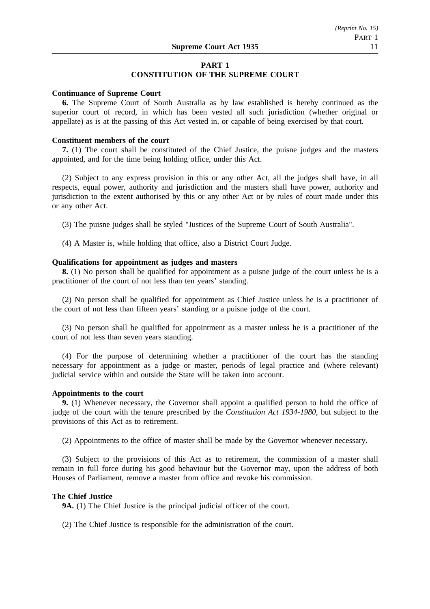# **PART 1**

## **CONSTITUTION OF THE SUPREME COURT**

### **Continuance of Supreme Court**

**6.** The Supreme Court of South Australia as by law established is hereby continued as the superior court of record, in which has been vested all such jurisdiction (whether original or appellate) as is at the passing of this Act vested in, or capable of being exercised by that court.

## **Constituent members of the court**

**7.** (1) The court shall be constituted of the Chief Justice, the puisne judges and the masters appointed, and for the time being holding office, under this Act.

(2) Subject to any express provision in this or any other Act, all the judges shall have, in all respects, equal power, authority and jurisdiction and the masters shall have power, authority and jurisdiction to the extent authorised by this or any other Act or by rules of court made under this or any other Act.

(3) The puisne judges shall be styled "Justices of the Supreme Court of South Australia".

(4) A Master is, while holding that office, also a District Court Judge.

### **Qualifications for appointment as judges and masters**

**8.** (1) No person shall be qualified for appointment as a puisne judge of the court unless he is a practitioner of the court of not less than ten years' standing.

(2) No person shall be qualified for appointment as Chief Justice unless he is a practitioner of the court of not less than fifteen years' standing or a puisne judge of the court.

(3) No person shall be qualified for appointment as a master unless he is a practitioner of the court of not less than seven years standing.

(4) For the purpose of determining whether a practitioner of the court has the standing necessary for appointment as a judge or master, periods of legal practice and (where relevant) judicial service within and outside the State will be taken into account.

#### **Appointments to the court**

**9.** (1) Whenever necessary, the Governor shall appoint a qualified person to hold the office of judge of the court with the tenure prescribed by the *Constitution Act 1934-1980*, but subject to the provisions of this Act as to retirement.

(2) Appointments to the office of master shall be made by the Governor whenever necessary.

(3) Subject to the provisions of this Act as to retirement, the commission of a master shall remain in full force during his good behaviour but the Governor may, upon the address of both Houses of Parliament, remove a master from office and revoke his commission.

#### **The Chief Justice**

**9A.** (1) The Chief Justice is the principal judicial officer of the court.

(2) The Chief Justice is responsible for the administration of the court.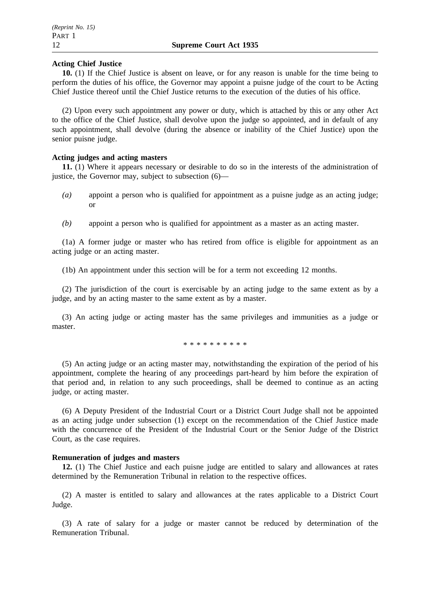## **Acting Chief Justice**

**10.** (1) If the Chief Justice is absent on leave, or for any reason is unable for the time being to perform the duties of his office, the Governor may appoint a puisne judge of the court to be Acting Chief Justice thereof until the Chief Justice returns to the execution of the duties of his office.

(2) Upon every such appointment any power or duty, which is attached by this or any other Act to the office of the Chief Justice, shall devolve upon the judge so appointed, and in default of any such appointment, shall devolve (during the absence or inability of the Chief Justice) upon the senior puisne judge.

## **Acting judges and acting masters**

**11.** (1) Where it appears necessary or desirable to do so in the interests of the administration of justice, the Governor may, subject to subsection  $(6)$ —

- *(a)* appoint a person who is qualified for appointment as a puisne judge as an acting judge; or
- *(b)* appoint a person who is qualified for appointment as a master as an acting master.

(1a) A former judge or master who has retired from office is eligible for appointment as an acting judge or an acting master.

(1b) An appointment under this section will be for a term not exceeding 12 months.

(2) The jurisdiction of the court is exercisable by an acting judge to the same extent as by a judge, and by an acting master to the same extent as by a master.

(3) An acting judge or acting master has the same privileges and immunities as a judge or master.

\*\*\*\*\*\*\*\*\*\*

(5) An acting judge or an acting master may, notwithstanding the expiration of the period of his appointment, complete the hearing of any proceedings part-heard by him before the expiration of that period and, in relation to any such proceedings, shall be deemed to continue as an acting judge, or acting master.

(6) A Deputy President of the Industrial Court or a District Court Judge shall not be appointed as an acting judge under subsection (1) except on the recommendation of the Chief Justice made with the concurrence of the President of the Industrial Court or the Senior Judge of the District Court, as the case requires.

## **Remuneration of judges and masters**

**12.** (1) The Chief Justice and each puisne judge are entitled to salary and allowances at rates determined by the Remuneration Tribunal in relation to the respective offices.

(2) A master is entitled to salary and allowances at the rates applicable to a District Court Judge.

(3) A rate of salary for a judge or master cannot be reduced by determination of the Remuneration Tribunal.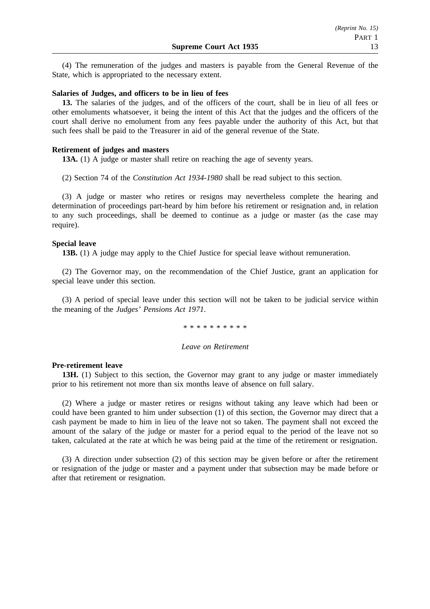(4) The remuneration of the judges and masters is payable from the General Revenue of the State, which is appropriated to the necessary extent.

#### **Salaries of Judges, and officers to be in lieu of fees**

**13.** The salaries of the judges, and of the officers of the court, shall be in lieu of all fees or other emoluments whatsoever, it being the intent of this Act that the judges and the officers of the court shall derive no emolument from any fees payable under the authority of this Act, but that such fees shall be paid to the Treasurer in aid of the general revenue of the State.

#### **Retirement of judges and masters**

**13A.** (1) A judge or master shall retire on reaching the age of seventy years.

(2) Section 74 of the *Constitution Act 1934-1980* shall be read subject to this section.

(3) A judge or master who retires or resigns may nevertheless complete the hearing and determination of proceedings part-heard by him before his retirement or resignation and, in relation to any such proceedings, shall be deemed to continue as a judge or master (as the case may require).

### **Special leave**

**13B.** (1) A judge may apply to the Chief Justice for special leave without remuneration.

(2) The Governor may, on the recommendation of the Chief Justice, grant an application for special leave under this section.

(3) A period of special leave under this section will not be taken to be judicial service within the meaning of the *Judges' Pensions Act 1971*.

\*\*\*\*\*\*\*\*\*\*

#### *Leave on Retirement*

### **Pre-retirement leave**

**13H.** (1) Subject to this section, the Governor may grant to any judge or master immediately prior to his retirement not more than six months leave of absence on full salary.

(2) Where a judge or master retires or resigns without taking any leave which had been or could have been granted to him under subsection (1) of this section, the Governor may direct that a cash payment be made to him in lieu of the leave not so taken. The payment shall not exceed the amount of the salary of the judge or master for a period equal to the period of the leave not so taken, calculated at the rate at which he was being paid at the time of the retirement or resignation.

(3) A direction under subsection (2) of this section may be given before or after the retirement or resignation of the judge or master and a payment under that subsection may be made before or after that retirement or resignation.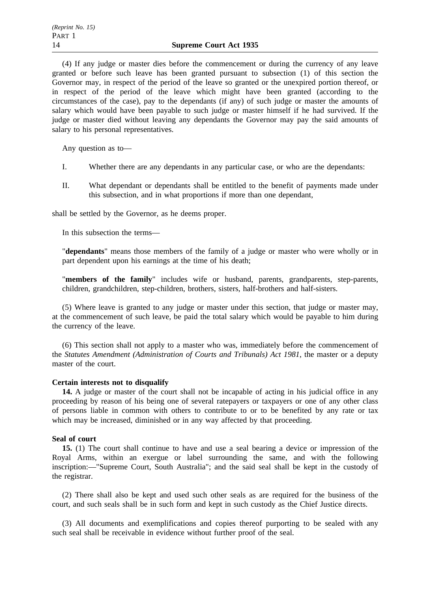(4) If any judge or master dies before the commencement or during the currency of any leave granted or before such leave has been granted pursuant to subsection (1) of this section the Governor may, in respect of the period of the leave so granted or the unexpired portion thereof, or in respect of the period of the leave which might have been granted (according to the circumstances of the case), pay to the dependants (if any) of such judge or master the amounts of salary which would have been payable to such judge or master himself if he had survived. If the judge or master died without leaving any dependants the Governor may pay the said amounts of salary to his personal representatives.

Any question as to—

- I. Whether there are any dependants in any particular case, or who are the dependants:
- II. What dependant or dependants shall be entitled to the benefit of payments made under this subsection, and in what proportions if more than one dependant,

shall be settled by the Governor, as he deems proper.

In this subsection the terms—

"**dependants**" means those members of the family of a judge or master who were wholly or in part dependent upon his earnings at the time of his death;

"**members of the family**" includes wife or husband, parents, grandparents, step-parents, children, grandchildren, step-children, brothers, sisters, half-brothers and half-sisters.

(5) Where leave is granted to any judge or master under this section, that judge or master may, at the commencement of such leave, be paid the total salary which would be payable to him during the currency of the leave.

(6) This section shall not apply to a master who was, immediately before the commencement of the *Statutes Amendment (Administration of Courts and Tribunals) Act 1981*, the master or a deputy master of the court.

#### **Certain interests not to disqualify**

**14.** A judge or master of the court shall not be incapable of acting in his judicial office in any proceeding by reason of his being one of several ratepayers or taxpayers or one of any other class of persons liable in common with others to contribute to or to be benefited by any rate or tax which may be increased, diminished or in any way affected by that proceeding.

## **Seal of court**

**15.** (1) The court shall continue to have and use a seal bearing a device or impression of the Royal Arms, within an exergue or label surrounding the same, and with the following inscription:—"Supreme Court, South Australia"; and the said seal shall be kept in the custody of the registrar.

(2) There shall also be kept and used such other seals as are required for the business of the court, and such seals shall be in such form and kept in such custody as the Chief Justice directs.

(3) All documents and exemplifications and copies thereof purporting to be sealed with any such seal shall be receivable in evidence without further proof of the seal.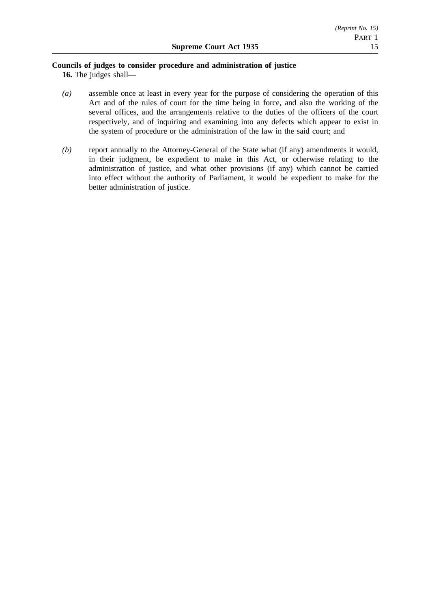## **Councils of judges to consider procedure and administration of justice**

**16.** The judges shall—

- *(a)* assemble once at least in every year for the purpose of considering the operation of this Act and of the rules of court for the time being in force, and also the working of the several offices, and the arrangements relative to the duties of the officers of the court respectively, and of inquiring and examining into any defects which appear to exist in the system of procedure or the administration of the law in the said court; and
- *(b)* report annually to the Attorney-General of the State what (if any) amendments it would, in their judgment, be expedient to make in this Act, or otherwise relating to the administration of justice, and what other provisions (if any) which cannot be carried into effect without the authority of Parliament, it would be expedient to make for the better administration of justice.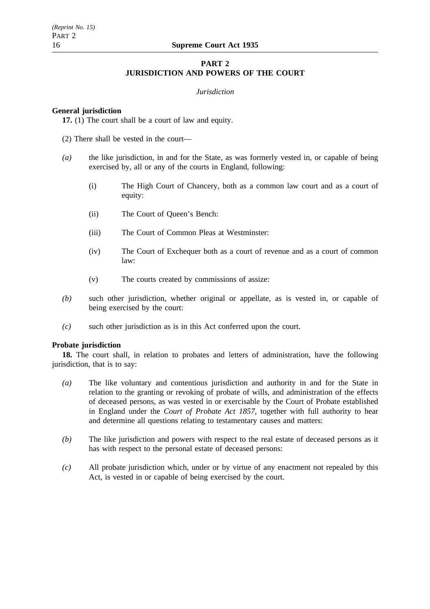## **PART 2 JURISDICTION AND POWERS OF THE COURT**

### *Jurisdiction*

## **General jurisdiction**

**17.** (1) The court shall be a court of law and equity.

- (2) There shall be vested in the court—
- *(a)* the like jurisdiction, in and for the State, as was formerly vested in, or capable of being exercised by, all or any of the courts in England, following:
	- (i) The High Court of Chancery, both as a common law court and as a court of equity:
	- (ii) The Court of Queen's Bench:
	- (iii) The Court of Common Pleas at Westminster:
	- (iv) The Court of Exchequer both as a court of revenue and as a court of common law:
	- (v) The courts created by commissions of assize:
- *(b)* such other jurisdiction, whether original or appellate, as is vested in, or capable of being exercised by the court:
- *(c)* such other jurisdiction as is in this Act conferred upon the court.

## **Probate jurisdiction**

**18.** The court shall, in relation to probates and letters of administration, have the following jurisdiction, that is to say:

- *(a)* The like voluntary and contentious jurisdiction and authority in and for the State in relation to the granting or revoking of probate of wills, and administration of the effects of deceased persons, as was vested in or exercisable by the Court of Probate established in England under the *Court of Probate Act 1857*, together with full authority to hear and determine all questions relating to testamentary causes and matters:
- *(b)* The like jurisdiction and powers with respect to the real estate of deceased persons as it has with respect to the personal estate of deceased persons:
- *(c)* All probate jurisdiction which, under or by virtue of any enactment not repealed by this Act, is vested in or capable of being exercised by the court.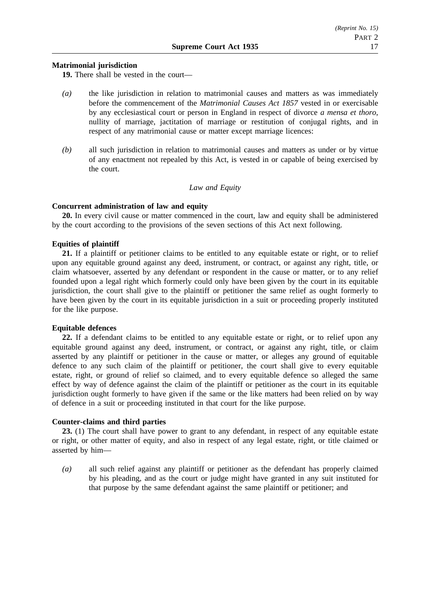## **Matrimonial jurisdiction**

**19.** There shall be vested in the court—

- *(a)* the like jurisdiction in relation to matrimonial causes and matters as was immediately before the commencement of the *Matrimonial Causes Act 1857* vested in or exercisable by any ecclesiastical court or person in England in respect of divorce *a mensa et thoro*, nullity of marriage, jactitation of marriage or restitution of conjugal rights, and in respect of any matrimonial cause or matter except marriage licences:
- *(b)* all such jurisdiction in relation to matrimonial causes and matters as under or by virtue of any enactment not repealed by this Act, is vested in or capable of being exercised by the court.

## *Law and Equity*

## **Concurrent administration of law and equity**

**20.** In every civil cause or matter commenced in the court, law and equity shall be administered by the court according to the provisions of the seven sections of this Act next following.

## **Equities of plaintiff**

**21.** If a plaintiff or petitioner claims to be entitled to any equitable estate or right, or to relief upon any equitable ground against any deed, instrument, or contract, or against any right, title, or claim whatsoever, asserted by any defendant or respondent in the cause or matter, or to any relief founded upon a legal right which formerly could only have been given by the court in its equitable jurisdiction, the court shall give to the plaintiff or petitioner the same relief as ought formerly to have been given by the court in its equitable jurisdiction in a suit or proceeding properly instituted for the like purpose.

## **Equitable defences**

**22.** If a defendant claims to be entitled to any equitable estate or right, or to relief upon any equitable ground against any deed, instrument, or contract, or against any right, title, or claim asserted by any plaintiff or petitioner in the cause or matter, or alleges any ground of equitable defence to any such claim of the plaintiff or petitioner, the court shall give to every equitable estate, right, or ground of relief so claimed, and to every equitable defence so alleged the same effect by way of defence against the claim of the plaintiff or petitioner as the court in its equitable jurisdiction ought formerly to have given if the same or the like matters had been relied on by way of defence in a suit or proceeding instituted in that court for the like purpose.

## **Counter-claims and third parties**

**23.** (1) The court shall have power to grant to any defendant, in respect of any equitable estate or right, or other matter of equity, and also in respect of any legal estate, right, or title claimed or asserted by him—

*(a)* all such relief against any plaintiff or petitioner as the defendant has properly claimed by his pleading, and as the court or judge might have granted in any suit instituted for that purpose by the same defendant against the same plaintiff or petitioner; and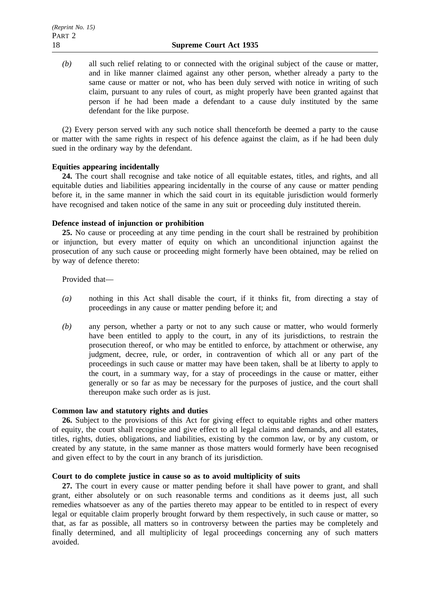*(b)* all such relief relating to or connected with the original subject of the cause or matter, and in like manner claimed against any other person, whether already a party to the same cause or matter or not, who has been duly served with notice in writing of such claim, pursuant to any rules of court, as might properly have been granted against that person if he had been made a defendant to a cause duly instituted by the same defendant for the like purpose.

(2) Every person served with any such notice shall thenceforth be deemed a party to the cause or matter with the same rights in respect of his defence against the claim, as if he had been duly sued in the ordinary way by the defendant.

## **Equities appearing incidentally**

**24.** The court shall recognise and take notice of all equitable estates, titles, and rights, and all equitable duties and liabilities appearing incidentally in the course of any cause or matter pending before it, in the same manner in which the said court in its equitable jurisdiction would formerly have recognised and taken notice of the same in any suit or proceeding duly instituted therein.

## **Defence instead of injunction or prohibition**

**25.** No cause or proceeding at any time pending in the court shall be restrained by prohibition or injunction, but every matter of equity on which an unconditional injunction against the prosecution of any such cause or proceeding might formerly have been obtained, may be relied on by way of defence thereto:

Provided that—

- *(a)* nothing in this Act shall disable the court, if it thinks fit, from directing a stay of proceedings in any cause or matter pending before it; and
- *(b)* any person, whether a party or not to any such cause or matter, who would formerly have been entitled to apply to the court, in any of its jurisdictions, to restrain the prosecution thereof, or who may be entitled to enforce, by attachment or otherwise, any judgment, decree, rule, or order, in contravention of which all or any part of the proceedings in such cause or matter may have been taken, shall be at liberty to apply to the court, in a summary way, for a stay of proceedings in the cause or matter, either generally or so far as may be necessary for the purposes of justice, and the court shall thereupon make such order as is just.

## **Common law and statutory rights and duties**

**26.** Subject to the provisions of this Act for giving effect to equitable rights and other matters of equity, the court shall recognise and give effect to all legal claims and demands, and all estates, titles, rights, duties, obligations, and liabilities, existing by the common law, or by any custom, or created by any statute, in the same manner as those matters would formerly have been recognised and given effect to by the court in any branch of its jurisdiction.

## **Court to do complete justice in cause so as to avoid multiplicity of suits**

**27.** The court in every cause or matter pending before it shall have power to grant, and shall grant, either absolutely or on such reasonable terms and conditions as it deems just, all such remedies whatsoever as any of the parties thereto may appear to be entitled to in respect of every legal or equitable claim properly brought forward by them respectively, in such cause or matter, so that, as far as possible, all matters so in controversy between the parties may be completely and finally determined, and all multiplicity of legal proceedings concerning any of such matters avoided.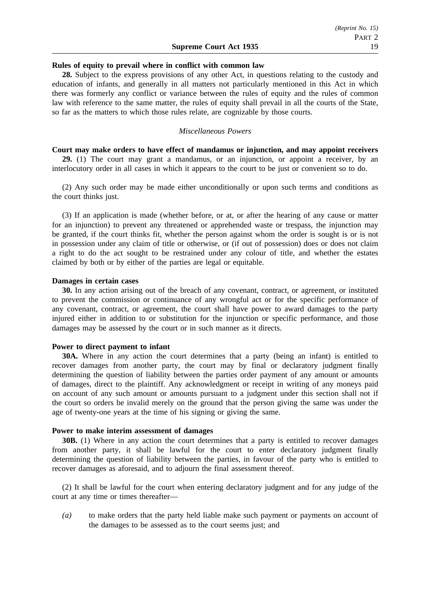### **Rules of equity to prevail where in conflict with common law**

**28.** Subject to the express provisions of any other Act, in questions relating to the custody and education of infants, and generally in all matters not particularly mentioned in this Act in which there was formerly any conflict or variance between the rules of equity and the rules of common law with reference to the same matter, the rules of equity shall prevail in all the courts of the State, so far as the matters to which those rules relate, are cognizable by those courts.

## *Miscellaneous Powers*

**Court may make orders to have effect of mandamus or injunction, and may appoint receivers 29.** (1) The court may grant a mandamus, or an injunction, or appoint a receiver, by an interlocutory order in all cases in which it appears to the court to be just or convenient so to do.

(2) Any such order may be made either unconditionally or upon such terms and conditions as the court thinks just.

(3) If an application is made (whether before, or at, or after the hearing of any cause or matter for an injunction) to prevent any threatened or apprehended waste or trespass, the injunction may be granted, if the court thinks fit, whether the person against whom the order is sought is or is not in possession under any claim of title or otherwise, or (if out of possession) does or does not claim a right to do the act sought to be restrained under any colour of title, and whether the estates claimed by both or by either of the parties are legal or equitable.

#### **Damages in certain cases**

**30.** In any action arising out of the breach of any covenant, contract, or agreement, or instituted to prevent the commission or continuance of any wrongful act or for the specific performance of any covenant, contract, or agreement, the court shall have power to award damages to the party injured either in addition to or substitution for the injunction or specific performance, and those damages may be assessed by the court or in such manner as it directs.

## **Power to direct payment to infant**

**30A.** Where in any action the court determines that a party (being an infant) is entitled to recover damages from another party, the court may by final or declaratory judgment finally determining the question of liability between the parties order payment of any amount or amounts of damages, direct to the plaintiff. Any acknowledgment or receipt in writing of any moneys paid on account of any such amount or amounts pursuant to a judgment under this section shall not if the court so orders be invalid merely on the ground that the person giving the same was under the age of twenty-one years at the time of his signing or giving the same.

## **Power to make interim assessment of damages**

**30B.** (1) Where in any action the court determines that a party is entitled to recover damages from another party, it shall be lawful for the court to enter declaratory judgment finally determining the question of liability between the parties, in favour of the party who is entitled to recover damages as aforesaid, and to adjourn the final assessment thereof.

(2) It shall be lawful for the court when entering declaratory judgment and for any judge of the court at any time or times thereafter—

*(a)* to make orders that the party held liable make such payment or payments on account of the damages to be assessed as to the court seems just; and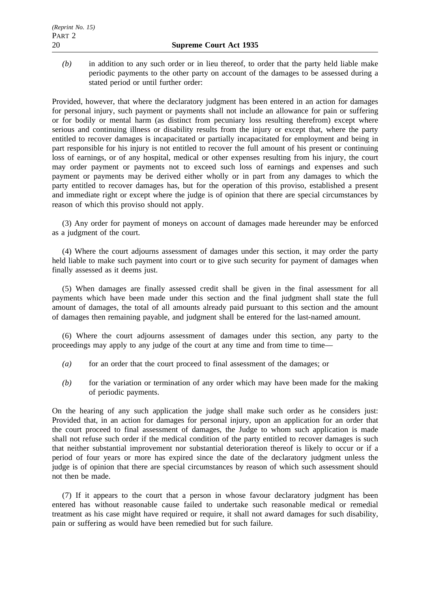*(b)* in addition to any such order or in lieu thereof, to order that the party held liable make periodic payments to the other party on account of the damages to be assessed during a stated period or until further order:

Provided, however, that where the declaratory judgment has been entered in an action for damages for personal injury, such payment or payments shall not include an allowance for pain or suffering or for bodily or mental harm (as distinct from pecuniary loss resulting therefrom) except where serious and continuing illness or disability results from the injury or except that, where the party entitled to recover damages is incapacitated or partially incapacitated for employment and being in part responsible for his injury is not entitled to recover the full amount of his present or continuing loss of earnings, or of any hospital, medical or other expenses resulting from his injury, the court may order payment or payments not to exceed such loss of earnings and expenses and such payment or payments may be derived either wholly or in part from any damages to which the party entitled to recover damages has, but for the operation of this proviso, established a present and immediate right or except where the judge is of opinion that there are special circumstances by reason of which this proviso should not apply.

(3) Any order for payment of moneys on account of damages made hereunder may be enforced as a judgment of the court.

(4) Where the court adjourns assessment of damages under this section, it may order the party held liable to make such payment into court or to give such security for payment of damages when finally assessed as it deems just.

(5) When damages are finally assessed credit shall be given in the final assessment for all payments which have been made under this section and the final judgment shall state the full amount of damages, the total of all amounts already paid pursuant to this section and the amount of damages then remaining payable, and judgment shall be entered for the last-named amount.

(6) Where the court adjourns assessment of damages under this section, any party to the proceedings may apply to any judge of the court at any time and from time to time—

- *(a)* for an order that the court proceed to final assessment of the damages; or
- *(b)* for the variation or termination of any order which may have been made for the making of periodic payments.

On the hearing of any such application the judge shall make such order as he considers just: Provided that, in an action for damages for personal injury, upon an application for an order that the court proceed to final assessment of damages, the Judge to whom such application is made shall not refuse such order if the medical condition of the party entitled to recover damages is such that neither substantial improvement nor substantial deterioration thereof is likely to occur or if a period of four years or more has expired since the date of the declaratory judgment unless the judge is of opinion that there are special circumstances by reason of which such assessment should not then be made.

(7) If it appears to the court that a person in whose favour declaratory judgment has been entered has without reasonable cause failed to undertake such reasonable medical or remedial treatment as his case might have required or require, it shall not award damages for such disability, pain or suffering as would have been remedied but for such failure.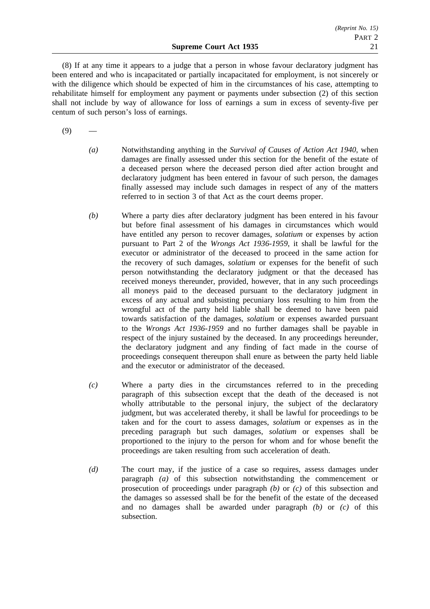(8) If at any time it appears to a judge that a person in whose favour declaratory judgment has been entered and who is incapacitated or partially incapacitated for employment, is not sincerely or with the diligence which should be expected of him in the circumstances of his case, attempting to rehabilitate himself for employment any payment or payments under subsection (2) of this section shall not include by way of allowance for loss of earnings a sum in excess of seventy-five per centum of such person's loss of earnings.

 $(9)$ 

- *(a)* Notwithstanding anything in the *Survival of Causes of Action Act 1940*, when damages are finally assessed under this section for the benefit of the estate of a deceased person where the deceased person died after action brought and declaratory judgment has been entered in favour of such person, the damages finally assessed may include such damages in respect of any of the matters referred to in section 3 of that Act as the court deems proper.
- *(b)* Where a party dies after declaratory judgment has been entered in his favour but before final assessment of his damages in circumstances which would have entitled any person to recover damages, *solatium* or expenses by action pursuant to Part 2 of the *Wrongs Act 1936-1959*, it shall be lawful for the executor or administrator of the deceased to proceed in the same action for the recovery of such damages, *solatium* or expenses for the benefit of such person notwithstanding the declaratory judgment or that the deceased has received moneys thereunder, provided, however, that in any such proceedings all moneys paid to the deceased pursuant to the declaratory judgment in excess of any actual and subsisting pecuniary loss resulting to him from the wrongful act of the party held liable shall be deemed to have been paid towards satisfaction of the damages, *solatium* or expenses awarded pursuant to the *Wrongs Act 1936-1959* and no further damages shall be payable in respect of the injury sustained by the deceased. In any proceedings hereunder, the declaratory judgment and any finding of fact made in the course of proceedings consequent thereupon shall enure as between the party held liable and the executor or administrator of the deceased.
- *(c)* Where a party dies in the circumstances referred to in the preceding paragraph of this subsection except that the death of the deceased is not wholly attributable to the personal injury, the subject of the declaratory judgment, but was accelerated thereby, it shall be lawful for proceedings to be taken and for the court to assess damages, *solatium* or expenses as in the preceding paragraph but such damages, *solatium* or expenses shall be proportioned to the injury to the person for whom and for whose benefit the proceedings are taken resulting from such acceleration of death.
- *(d)* The court may, if the justice of a case so requires, assess damages under paragraph *(a)* of this subsection notwithstanding the commencement or prosecution of proceedings under paragraph *(b)* or *(c)* of this subsection and the damages so assessed shall be for the benefit of the estate of the deceased and no damages shall be awarded under paragraph *(b)* or *(c)* of this subsection.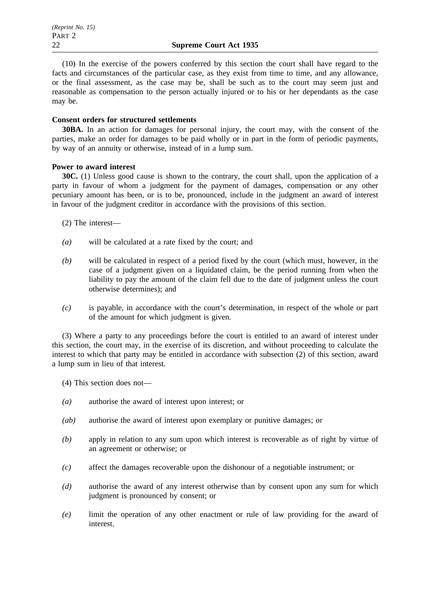(10) In the exercise of the powers conferred by this section the court shall have regard to the facts and circumstances of the particular case, as they exist from time to time, and any allowance, or the final assessment, as the case may be, shall be such as to the court may seem just and reasonable as compensation to the person actually injured or to his or her dependants as the case may be.

## **Consent orders for structured settlements**

**30BA.** In an action for damages for personal injury, the court may, with the consent of the parties, make an order for damages to be paid wholly or in part in the form of periodic payments, by way of an annuity or otherwise, instead of in a lump sum.

## **Power to award interest**

**30C.** (1) Unless good cause is shown to the contrary, the court shall, upon the application of a party in favour of whom a judgment for the payment of damages, compensation or any other pecuniary amount has been, or is to be, pronounced, include in the judgment an award of interest in favour of the judgment creditor in accordance with the provisions of this section.

- (2) The interest—
- *(a)* will be calculated at a rate fixed by the court; and
- *(b)* will be calculated in respect of a period fixed by the court (which must, however, in the case of a judgment given on a liquidated claim, be the period running from when the liability to pay the amount of the claim fell due to the date of judgment unless the court otherwise determines); and
- *(c)* is payable, in accordance with the court's determination, in respect of the whole or part of the amount for which judgment is given.

(3) Where a party to any proceedings before the court is entitled to an award of interest under this section, the court may, in the exercise of its discretion, and without proceeding to calculate the interest to which that party may be entitled in accordance with subsection (2) of this section, award a lump sum in lieu of that interest.

(4) This section does not—

- *(a)* authorise the award of interest upon interest; or
- *(ab)* authorise the award of interest upon exemplary or punitive damages; or
- *(b)* apply in relation to any sum upon which interest is recoverable as of right by virtue of an agreement or otherwise; or
- *(c)* affect the damages recoverable upon the dishonour of a negotiable instrument; or
- *(d)* authorise the award of any interest otherwise than by consent upon any sum for which judgment is pronounced by consent; or
- *(e)* limit the operation of any other enactment or rule of law providing for the award of interest.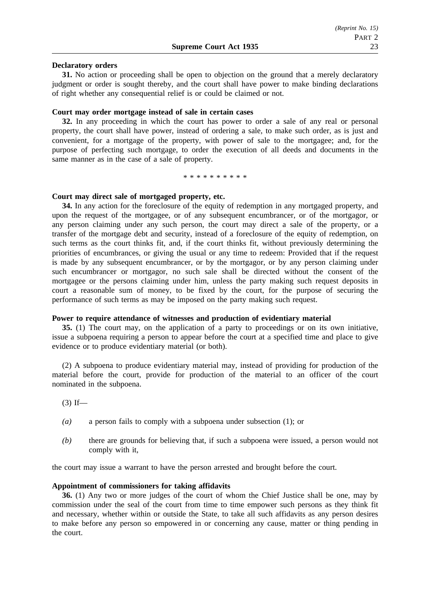### **Declaratory orders**

**31.** No action or proceeding shall be open to objection on the ground that a merely declaratory judgment or order is sought thereby, and the court shall have power to make binding declarations of right whether any consequential relief is or could be claimed or not.

### **Court may order mortgage instead of sale in certain cases**

**32.** In any proceeding in which the court has power to order a sale of any real or personal property, the court shall have power, instead of ordering a sale, to make such order, as is just and convenient, for a mortgage of the property, with power of sale to the mortgagee; and, for the purpose of perfecting such mortgage, to order the execution of all deeds and documents in the same manner as in the case of a sale of property.

\*\*\*\*\*\*\*\*\*\*

### **Court may direct sale of mortgaged property, etc.**

**34.** In any action for the foreclosure of the equity of redemption in any mortgaged property, and upon the request of the mortgagee, or of any subsequent encumbrancer, or of the mortgagor, or any person claiming under any such person, the court may direct a sale of the property, or a transfer of the mortgage debt and security, instead of a foreclosure of the equity of redemption, on such terms as the court thinks fit, and, if the court thinks fit, without previously determining the priorities of encumbrances, or giving the usual or any time to redeem: Provided that if the request is made by any subsequent encumbrancer, or by the mortgagor, or by any person claiming under such encumbrancer or mortgagor, no such sale shall be directed without the consent of the mortgagee or the persons claiming under him, unless the party making such request deposits in court a reasonable sum of money, to be fixed by the court, for the purpose of securing the performance of such terms as may be imposed on the party making such request.

### **Power to require attendance of witnesses and production of evidentiary material**

**35.** (1) The court may, on the application of a party to proceedings or on its own initiative, issue a subpoena requiring a person to appear before the court at a specified time and place to give evidence or to produce evidentiary material (or both).

(2) A subpoena to produce evidentiary material may, instead of providing for production of the material before the court, provide for production of the material to an officer of the court nominated in the subpoena.

 $(3)$  If—

- *(a)* a person fails to comply with a subpoena under subsection (1); or
- *(b)* there are grounds for believing that, if such a subpoena were issued, a person would not comply with it,

the court may issue a warrant to have the person arrested and brought before the court.

## **Appointment of commissioners for taking affidavits**

**36.** (1) Any two or more judges of the court of whom the Chief Justice shall be one, may by commission under the seal of the court from time to time empower such persons as they think fit and necessary, whether within or outside the State, to take all such affidavits as any person desires to make before any person so empowered in or concerning any cause, matter or thing pending in the court.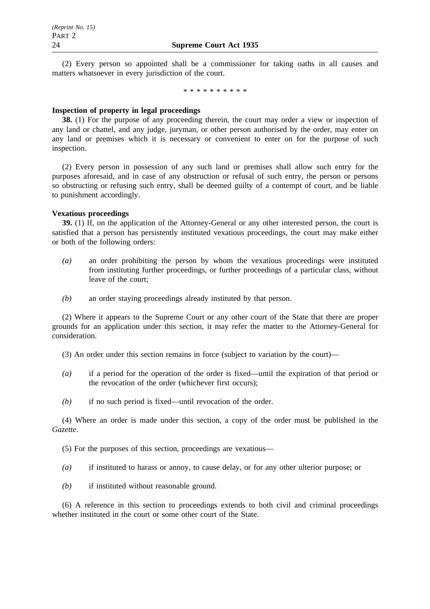(2) Every person so appointed shall be a commissioner for taking oaths in all causes and matters whatsoever in every jurisdiction of the court.

\*\*\*\*\*\*\*\*\*\*

## **Inspection of property in legal proceedings**

**38.** (1) For the purpose of any proceeding therein, the court may order a view or inspection of any land or chattel, and any judge, juryman, or other person authorised by the order, may enter on any land or premises which it is necessary or convenient to enter on for the purpose of such inspection.

(2) Every person in possession of any such land or premises shall allow such entry for the purposes aforesaid, and in case of any obstruction or refusal of such entry, the person or persons so obstructing or refusing such entry, shall be deemed guilty of a contempt of court, and be liable to punishment accordingly.

## **Vexatious proceedings**

**39.** (1) If, on the application of the Attorney-General or any other interested person, the court is satisfied that a person has persistently instituted vexatious proceedings, the court may make either or both of the following orders:

- *(a)* an order prohibiting the person by whom the vexatious proceedings were instituted from instituting further proceedings, or further proceedings of a particular class, without leave of the court;
- *(b)* an order staying proceedings already instituted by that person.

(2) Where it appears to the Supreme Court or any other court of the State that there are proper grounds for an application under this section, it may refer the matter to the Attorney-General for consideration.

(3) An order under this section remains in force (subject to variation by the court)—

- *(a)* if a period for the operation of the order is fixed—until the expiration of that period or the revocation of the order (whichever first occurs);
- *(b)* if no such period is fixed—until revocation of the order.

(4) Where an order is made under this section, a copy of the order must be published in the *Gazette*.

(5) For the purposes of this section, proceedings are vexatious—

- *(a)* if instituted to harass or annoy, to cause delay, or for any other ulterior purpose; or
- *(b)* if instituted without reasonable ground.

(6) A reference in this section to proceedings extends to both civil and criminal proceedings whether instituted in the court or some other court of the State.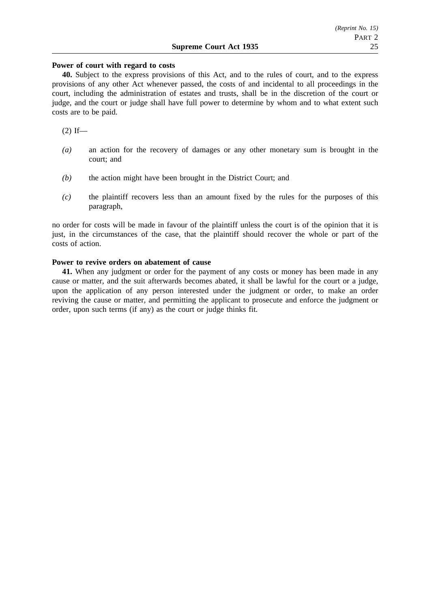## **Power of court with regard to costs**

**40.** Subject to the express provisions of this Act, and to the rules of court, and to the express provisions of any other Act whenever passed, the costs of and incidental to all proceedings in the court, including the administration of estates and trusts, shall be in the discretion of the court or judge, and the court or judge shall have full power to determine by whom and to what extent such costs are to be paid.

 $(2)$  If—

- *(a)* an action for the recovery of damages or any other monetary sum is brought in the court; and
- *(b)* the action might have been brought in the District Court; and
- *(c)* the plaintiff recovers less than an amount fixed by the rules for the purposes of this paragraph,

no order for costs will be made in favour of the plaintiff unless the court is of the opinion that it is just, in the circumstances of the case, that the plaintiff should recover the whole or part of the costs of action.

## **Power to revive orders on abatement of cause**

**41.** When any judgment or order for the payment of any costs or money has been made in any cause or matter, and the suit afterwards becomes abated, it shall be lawful for the court or a judge, upon the application of any person interested under the judgment or order, to make an order reviving the cause or matter, and permitting the applicant to prosecute and enforce the judgment or order, upon such terms (if any) as the court or judge thinks fit.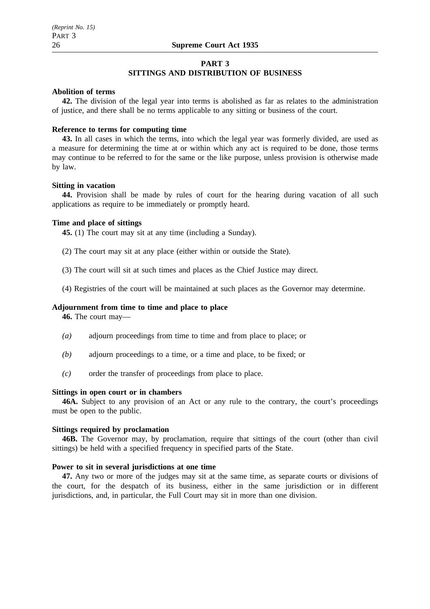## **PART 3**

## **SITTINGS AND DISTRIBUTION OF BUSINESS**

## **Abolition of terms**

**42.** The division of the legal year into terms is abolished as far as relates to the administration of justice, and there shall be no terms applicable to any sitting or business of the court.

#### **Reference to terms for computing time**

**43.** In all cases in which the terms, into which the legal year was formerly divided, are used as a measure for determining the time at or within which any act is required to be done, those terms may continue to be referred to for the same or the like purpose, unless provision is otherwise made by law.

## **Sitting in vacation**

**44.** Provision shall be made by rules of court for the hearing during vacation of all such applications as require to be immediately or promptly heard.

#### **Time and place of sittings**

**45.** (1) The court may sit at any time (including a Sunday).

(2) The court may sit at any place (either within or outside the State).

- (3) The court will sit at such times and places as the Chief Justice may direct.
- (4) Registries of the court will be maintained at such places as the Governor may determine.

#### **Adjournment from time to time and place to place**

**46.** The court may—

- *(a)* adjourn proceedings from time to time and from place to place; or
- *(b)* adjourn proceedings to a time, or a time and place, to be fixed; or
- *(c)* order the transfer of proceedings from place to place.

## **Sittings in open court or in chambers**

**46A.** Subject to any provision of an Act or any rule to the contrary, the court's proceedings must be open to the public.

#### **Sittings required by proclamation**

**46B.** The Governor may, by proclamation, require that sittings of the court (other than civil sittings) be held with a specified frequency in specified parts of the State.

#### **Power to sit in several jurisdictions at one time**

**47.** Any two or more of the judges may sit at the same time, as separate courts or divisions of the court, for the despatch of its business, either in the same jurisdiction or in different jurisdictions, and, in particular, the Full Court may sit in more than one division.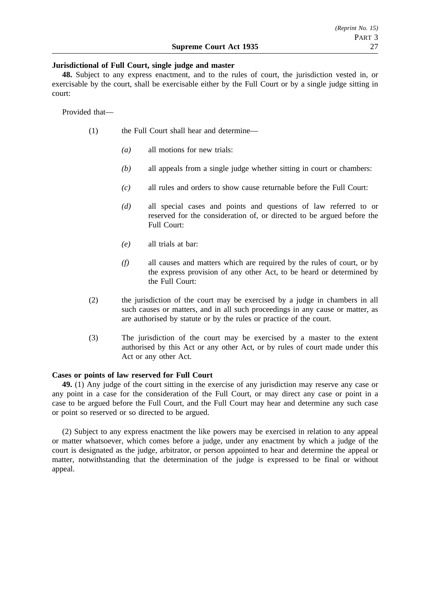## **Jurisdictional of Full Court, single judge and master**

**48.** Subject to any express enactment, and to the rules of court, the jurisdiction vested in, or exercisable by the court, shall be exercisable either by the Full Court or by a single judge sitting in court:

Provided that—

- (1) the Full Court shall hear and determine—
	- *(a)* all motions for new trials:
	- *(b)* all appeals from a single judge whether sitting in court or chambers:
	- *(c)* all rules and orders to show cause returnable before the Full Court:
	- *(d)* all special cases and points and questions of law referred to or reserved for the consideration of, or directed to be argued before the Full Court:
	- *(e)* all trials at bar:
	- *(f)* all causes and matters which are required by the rules of court, or by the express provision of any other Act, to be heard or determined by the Full Court:
- (2) the jurisdiction of the court may be exercised by a judge in chambers in all such causes or matters, and in all such proceedings in any cause or matter, as are authorised by statute or by the rules or practice of the court.
- (3) The jurisdiction of the court may be exercised by a master to the extent authorised by this Act or any other Act, or by rules of court made under this Act or any other Act.

## **Cases or points of law reserved for Full Court**

**49.** (1) Any judge of the court sitting in the exercise of any jurisdiction may reserve any case or any point in a case for the consideration of the Full Court, or may direct any case or point in a case to be argued before the Full Court, and the Full Court may hear and determine any such case or point so reserved or so directed to be argued.

(2) Subject to any express enactment the like powers may be exercised in relation to any appeal or matter whatsoever, which comes before a judge, under any enactment by which a judge of the court is designated as the judge, arbitrator, or person appointed to hear and determine the appeal or matter, notwithstanding that the determination of the judge is expressed to be final or without appeal.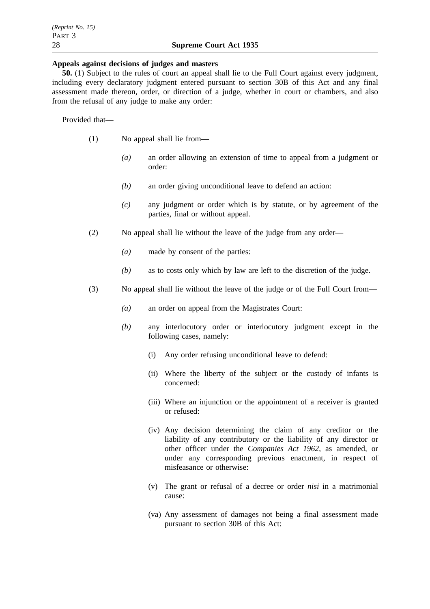## **Appeals against decisions of judges and masters**

**50.** (1) Subject to the rules of court an appeal shall lie to the Full Court against every judgment, including every declaratory judgment entered pursuant to section 30B of this Act and any final assessment made thereon, order, or direction of a judge, whether in court or chambers, and also from the refusal of any judge to make any order:

Provided that—

- (1) No appeal shall lie from—
	- *(a)* an order allowing an extension of time to appeal from a judgment or order:
	- *(b)* an order giving unconditional leave to defend an action:
	- *(c)* any judgment or order which is by statute, or by agreement of the parties, final or without appeal.
- (2) No appeal shall lie without the leave of the judge from any order—
	- *(a)* made by consent of the parties:
	- *(b)* as to costs only which by law are left to the discretion of the judge.
- (3) No appeal shall lie without the leave of the judge or of the Full Court from—
	- *(a)* an order on appeal from the Magistrates Court:
	- *(b)* any interlocutory order or interlocutory judgment except in the following cases, namely:
		- (i) Any order refusing unconditional leave to defend:
		- (ii) Where the liberty of the subject or the custody of infants is concerned:
		- (iii) Where an injunction or the appointment of a receiver is granted or refused:
		- (iv) Any decision determining the claim of any creditor or the liability of any contributory or the liability of any director or other officer under the *Companies Act 1962*, as amended, or under any corresponding previous enactment, in respect of misfeasance or otherwise:
		- (v) The grant or refusal of a decree or order *nisi* in a matrimonial cause:
		- (va) Any assessment of damages not being a final assessment made pursuant to section 30B of this Act: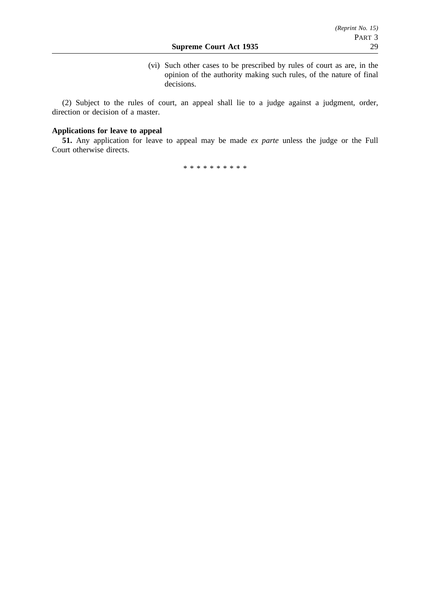(vi) Such other cases to be prescribed by rules of court as are, in the opinion of the authority making such rules, of the nature of final decisions.

(2) Subject to the rules of court, an appeal shall lie to a judge against a judgment, order, direction or decision of a master.

## **Applications for leave to appeal**

**51.** Any application for leave to appeal may be made *ex parte* unless the judge or the Full Court otherwise directs.

\*\*\*\*\*\*\*\*\*\*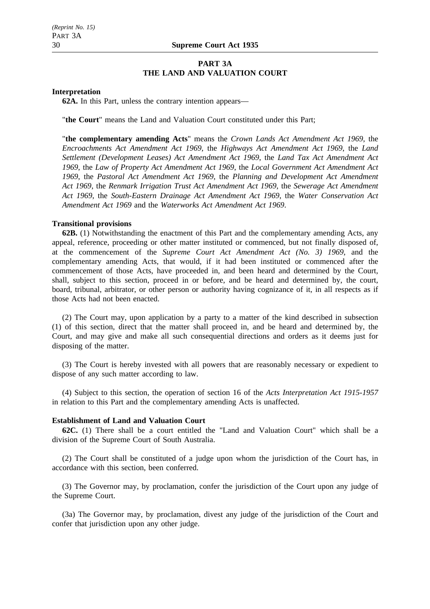## **PART 3A THE LAND AND VALUATION COURT**

#### **Interpretation**

**62A.** In this Part, unless the contrary intention appears—

"**the Court**" means the Land and Valuation Court constituted under this Part;

"**the complementary amending Acts**" means the *Crown Lands Act Amendment Act 1969*, the *Encroachments Act Amendment Act 1969*, the *Highways Act Amendment Act 1969*, the *Land Settlement (Development Leases) Act Amendment Act 1969*, the *Land Tax Act Amendment Act 1969*, the *Law of Property Act Amendment Act 1969*, the *Local Government Act Amendment Act 1969*, the *Pastoral Act Amendment Act 1969*, the *Planning and Development Act Amendment Act 1969*, the *Renmark Irrigation Trust Act Amendment Act 1969*, the *Sewerage Act Amendment Act 1969*, the *South-Eastern Drainage Act Amendment Act 1969*, the *Water Conservation Act Amendment Act 1969* and the *Waterworks Act Amendment Act 1969*.

### **Transitional provisions**

**62B.** (1) Notwithstanding the enactment of this Part and the complementary amending Acts, any appeal, reference, proceeding or other matter instituted or commenced, but not finally disposed of, at the commencement of the *Supreme Court Act Amendment Act (No. 3) 1969*, and the complementary amending Acts, that would, if it had been instituted or commenced after the commencement of those Acts, have proceeded in, and been heard and determined by the Court, shall, subject to this section, proceed in or before, and be heard and determined by, the court, board, tribunal, arbitrator, or other person or authority having cognizance of it, in all respects as if those Acts had not been enacted.

(2) The Court may, upon application by a party to a matter of the kind described in subsection (1) of this section, direct that the matter shall proceed in, and be heard and determined by, the Court, and may give and make all such consequential directions and orders as it deems just for disposing of the matter.

(3) The Court is hereby invested with all powers that are reasonably necessary or expedient to dispose of any such matter according to law.

(4) Subject to this section, the operation of section 16 of the *Acts Interpretation Act 1915-1957* in relation to this Part and the complementary amending Acts is unaffected.

### **Establishment of Land and Valuation Court**

**62C.** (1) There shall be a court entitled the "Land and Valuation Court" which shall be a division of the Supreme Court of South Australia.

(2) The Court shall be constituted of a judge upon whom the jurisdiction of the Court has, in accordance with this section, been conferred.

(3) The Governor may, by proclamation, confer the jurisdiction of the Court upon any judge of the Supreme Court.

(3a) The Governor may, by proclamation, divest any judge of the jurisdiction of the Court and confer that jurisdiction upon any other judge.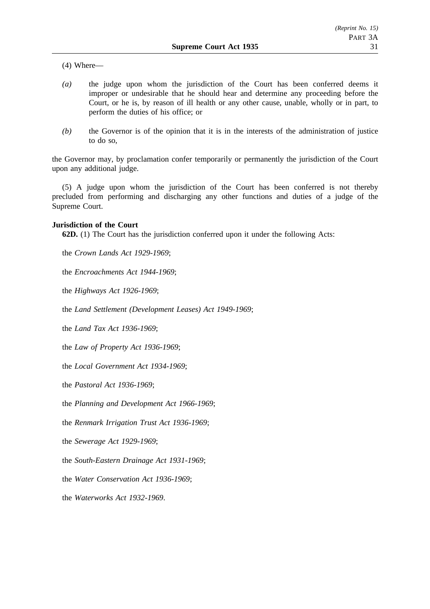(4) Where—

- *(a)* the judge upon whom the jurisdiction of the Court has been conferred deems it improper or undesirable that he should hear and determine any proceeding before the Court, or he is, by reason of ill health or any other cause, unable, wholly or in part, to perform the duties of his office; or
- *(b)* the Governor is of the opinion that it is in the interests of the administration of justice to do so,

the Governor may, by proclamation confer temporarily or permanently the jurisdiction of the Court upon any additional judge.

(5) A judge upon whom the jurisdiction of the Court has been conferred is not thereby precluded from performing and discharging any other functions and duties of a judge of the Supreme Court.

## **Jurisdiction of the Court**

**62D.** (1) The Court has the jurisdiction conferred upon it under the following Acts:

the *Crown Lands Act 1929-1969*;

the *Encroachments Act 1944-1969*;

the *Highways Act 1926-1969*;

the *Land Settlement (Development Leases) Act 1949-1969*;

the *Land Tax Act 1936-1969*;

the *Law of Property Act 1936-1969*;

the *Local Government Act 1934-1969*;

the *Pastoral Act 1936-1969*;

the *Planning and Development Act 1966-1969*;

the *Renmark Irrigation Trust Act 1936-1969*;

the *Sewerage Act 1929-1969*;

the *South-Eastern Drainage Act 1931-1969*;

the *Water Conservation Act 1936-1969*;

the *Waterworks Act 1932-1969*.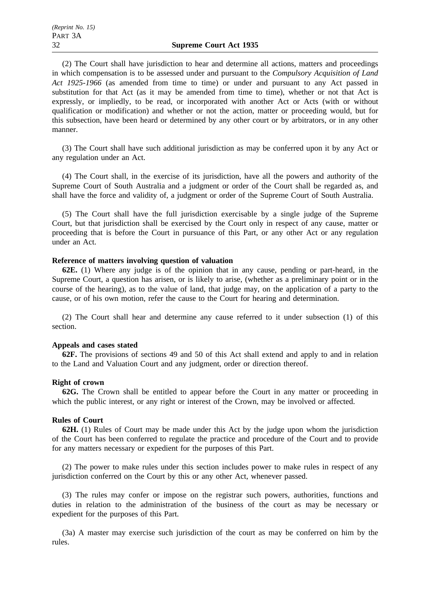(2) The Court shall have jurisdiction to hear and determine all actions, matters and proceedings in which compensation is to be assessed under and pursuant to the *Compulsory Acquisition of Land Act 1925-1966* (as amended from time to time) or under and pursuant to any Act passed in substitution for that Act (as it may be amended from time to time), whether or not that Act is expressly, or impliedly, to be read, or incorporated with another Act or Acts (with or without qualification or modification) and whether or not the action, matter or proceeding would, but for this subsection, have been heard or determined by any other court or by arbitrators, or in any other manner.

(3) The Court shall have such additional jurisdiction as may be conferred upon it by any Act or any regulation under an Act.

(4) The Court shall, in the exercise of its jurisdiction, have all the powers and authority of the Supreme Court of South Australia and a judgment or order of the Court shall be regarded as, and shall have the force and validity of, a judgment or order of the Supreme Court of South Australia.

(5) The Court shall have the full jurisdiction exercisable by a single judge of the Supreme Court, but that jurisdiction shall be exercised by the Court only in respect of any cause, matter or proceeding that is before the Court in pursuance of this Part, or any other Act or any regulation under an Act.

#### **Reference of matters involving question of valuation**

**62E.** (1) Where any judge is of the opinion that in any cause, pending or part-heard, in the Supreme Court, a question has arisen, or is likely to arise, (whether as a preliminary point or in the course of the hearing), as to the value of land, that judge may, on the application of a party to the cause, or of his own motion, refer the cause to the Court for hearing and determination.

(2) The Court shall hear and determine any cause referred to it under subsection (1) of this section.

### **Appeals and cases stated**

**62F.** The provisions of sections 49 and 50 of this Act shall extend and apply to and in relation to the Land and Valuation Court and any judgment, order or direction thereof.

## **Right of crown**

**62G.** The Crown shall be entitled to appear before the Court in any matter or proceeding in which the public interest, or any right or interest of the Crown, may be involved or affected.

## **Rules of Court**

**62H.** (1) Rules of Court may be made under this Act by the judge upon whom the jurisdiction of the Court has been conferred to regulate the practice and procedure of the Court and to provide for any matters necessary or expedient for the purposes of this Part.

(2) The power to make rules under this section includes power to make rules in respect of any jurisdiction conferred on the Court by this or any other Act, whenever passed.

(3) The rules may confer or impose on the registrar such powers, authorities, functions and duties in relation to the administration of the business of the court as may be necessary or expedient for the purposes of this Part.

(3a) A master may exercise such jurisdiction of the court as may be conferred on him by the rules.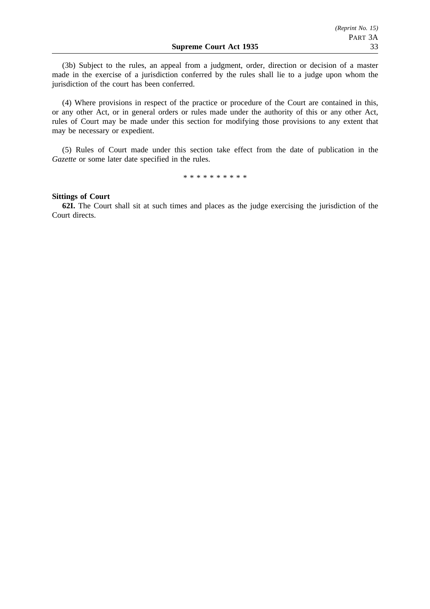(3b) Subject to the rules, an appeal from a judgment, order, direction or decision of a master made in the exercise of a jurisdiction conferred by the rules shall lie to a judge upon whom the jurisdiction of the court has been conferred.

(4) Where provisions in respect of the practice or procedure of the Court are contained in this, or any other Act, or in general orders or rules made under the authority of this or any other Act, rules of Court may be made under this section for modifying those provisions to any extent that may be necessary or expedient.

(5) Rules of Court made under this section take effect from the date of publication in the *Gazette* or some later date specified in the rules.

\*\*\*\*\*\*\*\*\*\*

### **Sittings of Court**

**62I.** The Court shall sit at such times and places as the judge exercising the jurisdiction of the Court directs.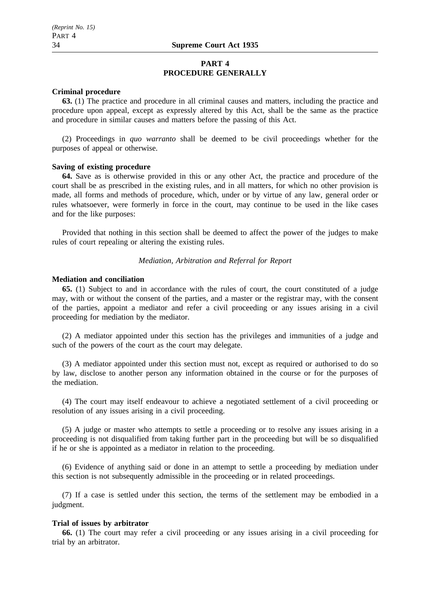## **PART 4 PROCEDURE GENERALLY**

### **Criminal procedure**

**63.** (1) The practice and procedure in all criminal causes and matters, including the practice and procedure upon appeal, except as expressly altered by this Act, shall be the same as the practice and procedure in similar causes and matters before the passing of this Act.

(2) Proceedings in *quo warranto* shall be deemed to be civil proceedings whether for the purposes of appeal or otherwise.

#### **Saving of existing procedure**

**64.** Save as is otherwise provided in this or any other Act, the practice and procedure of the court shall be as prescribed in the existing rules, and in all matters, for which no other provision is made, all forms and methods of procedure, which, under or by virtue of any law, general order or rules whatsoever, were formerly in force in the court, may continue to be used in the like cases and for the like purposes:

Provided that nothing in this section shall be deemed to affect the power of the judges to make rules of court repealing or altering the existing rules.

### *Mediation, Arbitration and Referral for Report*

#### **Mediation and conciliation**

**65.** (1) Subject to and in accordance with the rules of court, the court constituted of a judge may, with or without the consent of the parties, and a master or the registrar may, with the consent of the parties, appoint a mediator and refer a civil proceeding or any issues arising in a civil proceeding for mediation by the mediator.

(2) A mediator appointed under this section has the privileges and immunities of a judge and such of the powers of the court as the court may delegate.

(3) A mediator appointed under this section must not, except as required or authorised to do so by law, disclose to another person any information obtained in the course or for the purposes of the mediation.

(4) The court may itself endeavour to achieve a negotiated settlement of a civil proceeding or resolution of any issues arising in a civil proceeding.

(5) A judge or master who attempts to settle a proceeding or to resolve any issues arising in a proceeding is not disqualified from taking further part in the proceeding but will be so disqualified if he or she is appointed as a mediator in relation to the proceeding.

(6) Evidence of anything said or done in an attempt to settle a proceeding by mediation under this section is not subsequently admissible in the proceeding or in related proceedings.

(7) If a case is settled under this section, the terms of the settlement may be embodied in a judgment.

## **Trial of issues by arbitrator**

**66.** (1) The court may refer a civil proceeding or any issues arising in a civil proceeding for trial by an arbitrator.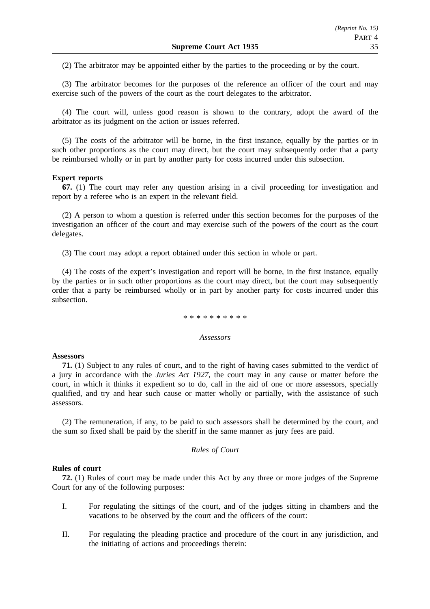(2) The arbitrator may be appointed either by the parties to the proceeding or by the court.

(3) The arbitrator becomes for the purposes of the reference an officer of the court and may exercise such of the powers of the court as the court delegates to the arbitrator.

(4) The court will, unless good reason is shown to the contrary, adopt the award of the arbitrator as its judgment on the action or issues referred.

(5) The costs of the arbitrator will be borne, in the first instance, equally by the parties or in such other proportions as the court may direct, but the court may subsequently order that a party be reimbursed wholly or in part by another party for costs incurred under this subsection.

#### **Expert reports**

**67.** (1) The court may refer any question arising in a civil proceeding for investigation and report by a referee who is an expert in the relevant field.

(2) A person to whom a question is referred under this section becomes for the purposes of the investigation an officer of the court and may exercise such of the powers of the court as the court delegates.

(3) The court may adopt a report obtained under this section in whole or part.

(4) The costs of the expert's investigation and report will be borne, in the first instance, equally by the parties or in such other proportions as the court may direct, but the court may subsequently order that a party be reimbursed wholly or in part by another party for costs incurred under this subsection.

#### \*\*\*\*\*\*\*\*\*\*

## *Assessors*

### **Assessors**

**71.** (1) Subject to any rules of court, and to the right of having cases submitted to the verdict of a jury in accordance with the *Juries Act 1927*, the court may in any cause or matter before the court, in which it thinks it expedient so to do, call in the aid of one or more assessors, specially qualified, and try and hear such cause or matter wholly or partially, with the assistance of such assessors.

(2) The remuneration, if any, to be paid to such assessors shall be determined by the court, and the sum so fixed shall be paid by the sheriff in the same manner as jury fees are paid.

### *Rules of Court*

#### **Rules of court**

**72.** (1) Rules of court may be made under this Act by any three or more judges of the Supreme Court for any of the following purposes:

- I. For regulating the sittings of the court, and of the judges sitting in chambers and the vacations to be observed by the court and the officers of the court:
- II. For regulating the pleading practice and procedure of the court in any jurisdiction, and the initiating of actions and proceedings therein: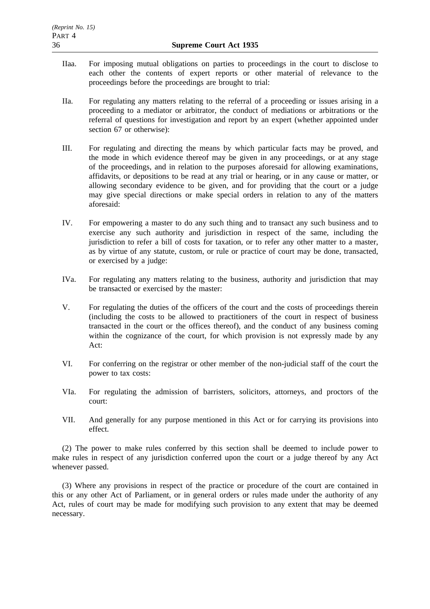- IIaa. For imposing mutual obligations on parties to proceedings in the court to disclose to each other the contents of expert reports or other material of relevance to the proceedings before the proceedings are brought to trial:
- IIa. For regulating any matters relating to the referral of a proceeding or issues arising in a proceeding to a mediator or arbitrator, the conduct of mediations or arbitrations or the referral of questions for investigation and report by an expert (whether appointed under section 67 or otherwise):
- III. For regulating and directing the means by which particular facts may be proved, and the mode in which evidence thereof may be given in any proceedings, or at any stage of the proceedings, and in relation to the purposes aforesaid for allowing examinations, affidavits, or depositions to be read at any trial or hearing, or in any cause or matter, or allowing secondary evidence to be given, and for providing that the court or a judge may give special directions or make special orders in relation to any of the matters aforesaid:
- IV. For empowering a master to do any such thing and to transact any such business and to exercise any such authority and jurisdiction in respect of the same, including the jurisdiction to refer a bill of costs for taxation, or to refer any other matter to a master, as by virtue of any statute, custom, or rule or practice of court may be done, transacted, or exercised by a judge:
- IVa. For regulating any matters relating to the business, authority and jurisdiction that may be transacted or exercised by the master:
- V. For regulating the duties of the officers of the court and the costs of proceedings therein (including the costs to be allowed to practitioners of the court in respect of business transacted in the court or the offices thereof), and the conduct of any business coming within the cognizance of the court, for which provision is not expressly made by any Act:
- VI. For conferring on the registrar or other member of the non-judicial staff of the court the power to tax costs:
- VIa. For regulating the admission of barristers, solicitors, attorneys, and proctors of the court:
- VII. And generally for any purpose mentioned in this Act or for carrying its provisions into effect.

(2) The power to make rules conferred by this section shall be deemed to include power to make rules in respect of any jurisdiction conferred upon the court or a judge thereof by any Act whenever passed.

(3) Where any provisions in respect of the practice or procedure of the court are contained in this or any other Act of Parliament, or in general orders or rules made under the authority of any Act, rules of court may be made for modifying such provision to any extent that may be deemed necessary.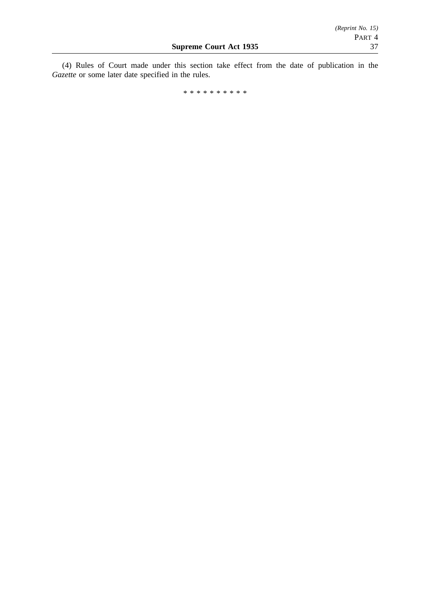(4) Rules of Court made under this section take effect from the date of publication in the *Gazette* or some later date specified in the rules.

\*\*\*\*\*\*\*\*\*\*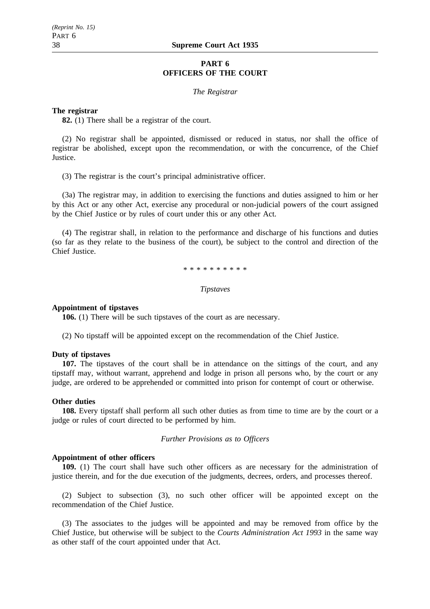## **PART 6 OFFICERS OF THE COURT**

#### *The Registrar*

#### **The registrar**

**82.** (1) There shall be a registrar of the court.

(2) No registrar shall be appointed, dismissed or reduced in status, nor shall the office of registrar be abolished, except upon the recommendation, or with the concurrence, of the Chief Justice.

(3) The registrar is the court's principal administrative officer.

(3a) The registrar may, in addition to exercising the functions and duties assigned to him or her by this Act or any other Act, exercise any procedural or non-judicial powers of the court assigned by the Chief Justice or by rules of court under this or any other Act.

(4) The registrar shall, in relation to the performance and discharge of his functions and duties (so far as they relate to the business of the court), be subject to the control and direction of the Chief Justice.

\*\*\*\*\*\*\*\*\*\*

#### *Tipstaves*

#### **Appointment of tipstaves**

**106.** (1) There will be such tipstaves of the court as are necessary.

(2) No tipstaff will be appointed except on the recommendation of the Chief Justice.

#### **Duty of tipstaves**

**107.** The tipstaves of the court shall be in attendance on the sittings of the court, and any tipstaff may, without warrant, apprehend and lodge in prison all persons who, by the court or any judge, are ordered to be apprehended or committed into prison for contempt of court or otherwise.

#### **Other duties**

**108.** Every tipstaff shall perform all such other duties as from time to time are by the court or a judge or rules of court directed to be performed by him.

#### *Further Provisions as to Officers*

#### **Appointment of other officers**

**109.** (1) The court shall have such other officers as are necessary for the administration of justice therein, and for the due execution of the judgments, decrees, orders, and processes thereof.

(2) Subject to subsection (3), no such other officer will be appointed except on the recommendation of the Chief Justice.

(3) The associates to the judges will be appointed and may be removed from office by the Chief Justice, but otherwise will be subject to the *Courts Administration Act 1993* in the same way as other staff of the court appointed under that Act.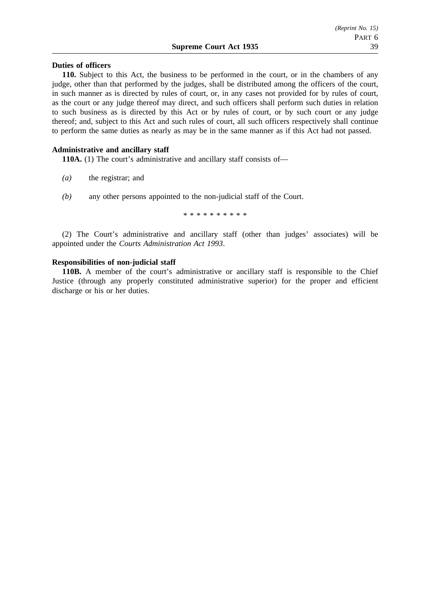### **Supreme Court Act 1935** 39

## **Duties of officers**

**110.** Subject to this Act, the business to be performed in the court, or in the chambers of any judge, other than that performed by the judges, shall be distributed among the officers of the court, in such manner as is directed by rules of court, or, in any cases not provided for by rules of court, as the court or any judge thereof may direct, and such officers shall perform such duties in relation to such business as is directed by this Act or by rules of court, or by such court or any judge thereof; and, subject to this Act and such rules of court, all such officers respectively shall continue to perform the same duties as nearly as may be in the same manner as if this Act had not passed.

## **Administrative and ancillary staff**

**110A.** (1) The court's administrative and ancillary staff consists of—

- *(a)* the registrar; and
- *(b)* any other persons appointed to the non-judicial staff of the Court.

\*\*\*\*\*\*\*\*\*\*

(2) The Court's administrative and ancillary staff (other than judges' associates) will be appointed under the *Courts Administration Act 1993*.

## **Responsibilities of non-judicial staff**

**110B.** A member of the court's administrative or ancillary staff is responsible to the Chief Justice (through any properly constituted administrative superior) for the proper and efficient discharge or his or her duties.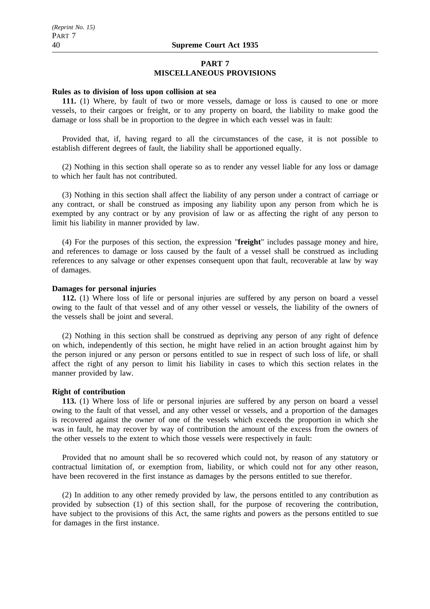## **PART 7 MISCELLANEOUS PROVISIONS**

#### **Rules as to division of loss upon collision at sea**

**111.** (1) Where, by fault of two or more vessels, damage or loss is caused to one or more vessels, to their cargoes or freight, or to any property on board, the liability to make good the damage or loss shall be in proportion to the degree in which each vessel was in fault:

Provided that, if, having regard to all the circumstances of the case, it is not possible to establish different degrees of fault, the liability shall be apportioned equally.

(2) Nothing in this section shall operate so as to render any vessel liable for any loss or damage to which her fault has not contributed.

(3) Nothing in this section shall affect the liability of any person under a contract of carriage or any contract, or shall be construed as imposing any liability upon any person from which he is exempted by any contract or by any provision of law or as affecting the right of any person to limit his liability in manner provided by law.

(4) For the purposes of this section, the expression "**freight**" includes passage money and hire, and references to damage or loss caused by the fault of a vessel shall be construed as including references to any salvage or other expenses consequent upon that fault, recoverable at law by way of damages.

## **Damages for personal injuries**

**112.** (1) Where loss of life or personal injuries are suffered by any person on board a vessel owing to the fault of that vessel and of any other vessel or vessels, the liability of the owners of the vessels shall be joint and several.

(2) Nothing in this section shall be construed as depriving any person of any right of defence on which, independently of this section, he might have relied in an action brought against him by the person injured or any person or persons entitled to sue in respect of such loss of life, or shall affect the right of any person to limit his liability in cases to which this section relates in the manner provided by law.

#### **Right of contribution**

**113.** (1) Where loss of life or personal injuries are suffered by any person on board a vessel owing to the fault of that vessel, and any other vessel or vessels, and a proportion of the damages is recovered against the owner of one of the vessels which exceeds the proportion in which she was in fault, he may recover by way of contribution the amount of the excess from the owners of the other vessels to the extent to which those vessels were respectively in fault:

Provided that no amount shall be so recovered which could not, by reason of any statutory or contractual limitation of, or exemption from, liability, or which could not for any other reason, have been recovered in the first instance as damages by the persons entitled to sue therefor.

(2) In addition to any other remedy provided by law, the persons entitled to any contribution as provided by subsection (1) of this section shall, for the purpose of recovering the contribution, have subject to the provisions of this Act, the same rights and powers as the persons entitled to sue for damages in the first instance.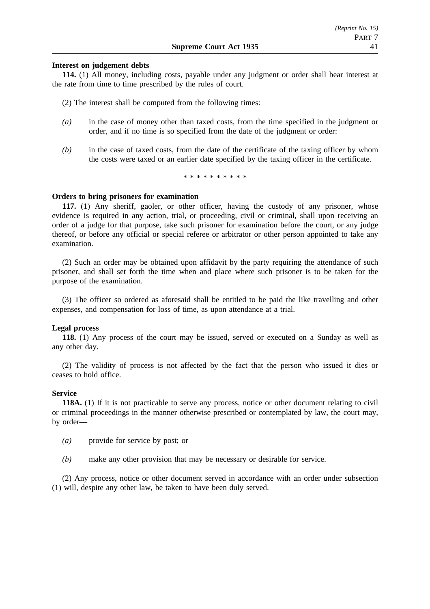## **Interest on judgement debts**

**114.** (1) All money, including costs, payable under any judgment or order shall bear interest at the rate from time to time prescribed by the rules of court.

(2) The interest shall be computed from the following times:

- *(a)* in the case of money other than taxed costs, from the time specified in the judgment or order, and if no time is so specified from the date of the judgment or order:
- *(b)* in the case of taxed costs, from the date of the certificate of the taxing officer by whom the costs were taxed or an earlier date specified by the taxing officer in the certificate.

\*\*\*\*\*\*\*\*\*\*

#### **Orders to bring prisoners for examination**

**117.** (1) Any sheriff, gaoler, or other officer, having the custody of any prisoner, whose evidence is required in any action, trial, or proceeding, civil or criminal, shall upon receiving an order of a judge for that purpose, take such prisoner for examination before the court, or any judge thereof, or before any official or special referee or arbitrator or other person appointed to take any examination.

(2) Such an order may be obtained upon affidavit by the party requiring the attendance of such prisoner, and shall set forth the time when and place where such prisoner is to be taken for the purpose of the examination.

(3) The officer so ordered as aforesaid shall be entitled to be paid the like travelling and other expenses, and compensation for loss of time, as upon attendance at a trial.

#### **Legal process**

**118.** (1) Any process of the court may be issued, served or executed on a Sunday as well as any other day.

(2) The validity of process is not affected by the fact that the person who issued it dies or ceases to hold office.

#### **Service**

**118A.** (1) If it is not practicable to serve any process, notice or other document relating to civil or criminal proceedings in the manner otherwise prescribed or contemplated by law, the court may, by order—

- *(a)* provide for service by post; or
- *(b)* make any other provision that may be necessary or desirable for service.

(2) Any process, notice or other document served in accordance with an order under subsection (1) will, despite any other law, be taken to have been duly served.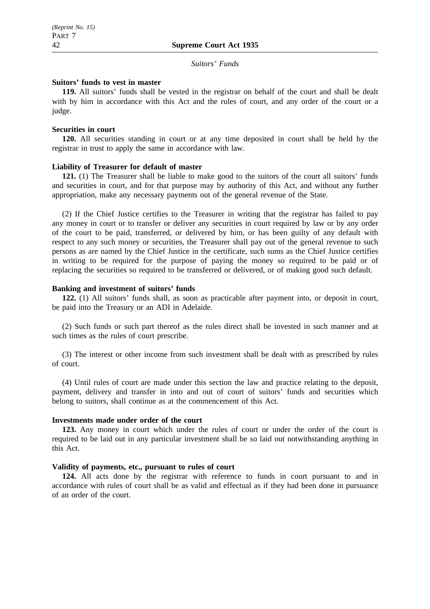#### *Suitors' Funds*

## **Suitors' funds to vest in master**

**119.** All suitors' funds shall be vested in the registrar on behalf of the court and shall be dealt with by him in accordance with this Act and the rules of court, and any order of the court or a judge.

## **Securities in court**

**120.** All securities standing in court or at any time deposited in court shall be held by the registrar in trust to apply the same in accordance with law.

## **Liability of Treasurer for default of master**

**121.** (1) The Treasurer shall be liable to make good to the suitors of the court all suitors' funds and securities in court, and for that purpose may by authority of this Act, and without any further appropriation, make any necessary payments out of the general revenue of the State.

(2) If the Chief Justice certifies to the Treasurer in writing that the registrar has failed to pay any money in court or to transfer or deliver any securities in court required by law or by any order of the court to be paid, transferred, or delivered by him, or has been guilty of any default with respect to any such money or securities, the Treasurer shall pay out of the general revenue to such persons as are named by the Chief Justice in the certificate, such sums as the Chief Justice certifies in writing to be required for the purpose of paying the money so required to be paid or of replacing the securities so required to be transferred or delivered, or of making good such default.

## **Banking and investment of suitors' funds**

**122.** (1) All suitors' funds shall, as soon as practicable after payment into, or deposit in court, be paid into the Treasury or an ADI in Adelaide.

(2) Such funds or such part thereof as the rules direct shall be invested in such manner and at such times as the rules of court prescribe.

(3) The interest or other income from such investment shall be dealt with as prescribed by rules of court.

(4) Until rules of court are made under this section the law and practice relating to the deposit, payment, delivery and transfer in into and out of court of suitors' funds and securities which belong to suitors, shall continue as at the commencement of this Act.

#### **Investments made under order of the court**

**123.** Any money in court which under the rules of court or under the order of the court is required to be laid out in any particular investment shall be so laid out notwithstanding anything in this Act.

#### **Validity of payments, etc., pursuant to rules of court**

**124.** All acts done by the registrar with reference to funds in court pursuant to and in accordance with rules of court shall be as valid and effectual as if they had been done in pursuance of an order of the court.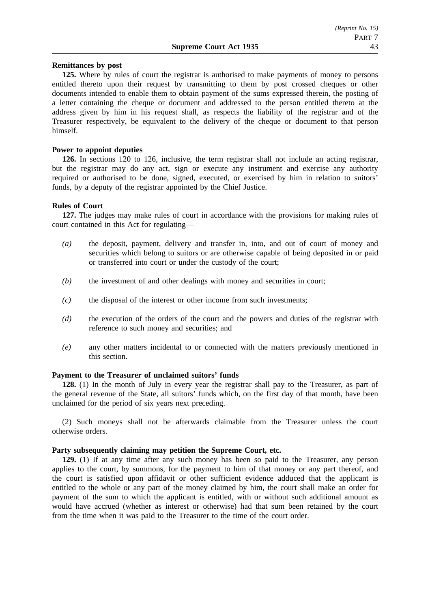## **Remittances by post**

**125.** Where by rules of court the registrar is authorised to make payments of money to persons entitled thereto upon their request by transmitting to them by post crossed cheques or other documents intended to enable them to obtain payment of the sums expressed therein, the posting of a letter containing the cheque or document and addressed to the person entitled thereto at the address given by him in his request shall, as respects the liability of the registrar and of the Treasurer respectively, be equivalent to the delivery of the cheque or document to that person himself.

## **Power to appoint deputies**

**126.** In sections 120 to 126, inclusive, the term registrar shall not include an acting registrar, but the registrar may do any act, sign or execute any instrument and exercise any authority required or authorised to be done, signed, executed, or exercised by him in relation to suitors' funds, by a deputy of the registrar appointed by the Chief Justice.

## **Rules of Court**

**127.** The judges may make rules of court in accordance with the provisions for making rules of court contained in this Act for regulating—

- *(a)* the deposit, payment, delivery and transfer in, into, and out of court of money and securities which belong to suitors or are otherwise capable of being deposited in or paid or transferred into court or under the custody of the court;
- *(b)* the investment of and other dealings with money and securities in court;
- *(c)* the disposal of the interest or other income from such investments;
- *(d)* the execution of the orders of the court and the powers and duties of the registrar with reference to such money and securities; and
- *(e)* any other matters incidental to or connected with the matters previously mentioned in this section.

## **Payment to the Treasurer of unclaimed suitors' funds**

**128.** (1) In the month of July in every year the registrar shall pay to the Treasurer, as part of the general revenue of the State, all suitors' funds which, on the first day of that month, have been unclaimed for the period of six years next preceding.

(2) Such moneys shall not be afterwards claimable from the Treasurer unless the court otherwise orders.

## **Party subsequently claiming may petition the Supreme Court, etc.**

**129.** (1) If at any time after any such money has been so paid to the Treasurer, any person applies to the court, by summons, for the payment to him of that money or any part thereof, and the court is satisfied upon affidavit or other sufficient evidence adduced that the applicant is entitled to the whole or any part of the money claimed by him, the court shall make an order for payment of the sum to which the applicant is entitled, with or without such additional amount as would have accrued (whether as interest or otherwise) had that sum been retained by the court from the time when it was paid to the Treasurer to the time of the court order.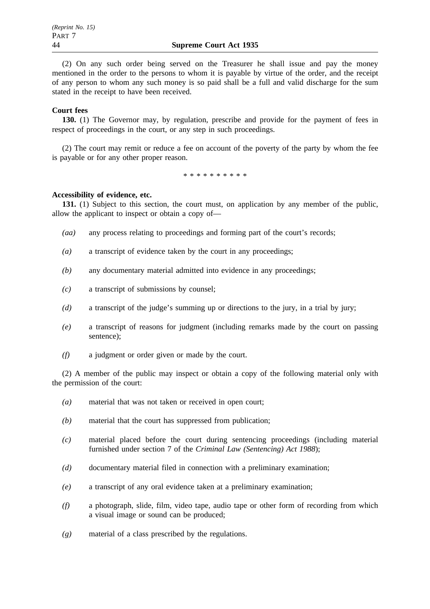(2) On any such order being served on the Treasurer he shall issue and pay the money mentioned in the order to the persons to whom it is payable by virtue of the order, and the receipt of any person to whom any such money is so paid shall be a full and valid discharge for the sum stated in the receipt to have been received.

## **Court fees**

**130.** (1) The Governor may, by regulation, prescribe and provide for the payment of fees in respect of proceedings in the court, or any step in such proceedings.

(2) The court may remit or reduce a fee on account of the poverty of the party by whom the fee is payable or for any other proper reason.

\*\*\*\*\*\*\*\*\*\*

## **Accessibility of evidence, etc.**

**131.** (1) Subject to this section, the court must, on application by any member of the public, allow the applicant to inspect or obtain a copy of—

- *(aa)* any process relating to proceedings and forming part of the court's records;
- *(a)* a transcript of evidence taken by the court in any proceedings;
- *(b)* any documentary material admitted into evidence in any proceedings;
- *(c)* a transcript of submissions by counsel;
- *(d)* a transcript of the judge's summing up or directions to the jury, in a trial by jury;
- *(e)* a transcript of reasons for judgment (including remarks made by the court on passing sentence);
- *(f)* a judgment or order given or made by the court.

(2) A member of the public may inspect or obtain a copy of the following material only with the permission of the court:

- *(a)* material that was not taken or received in open court;
- *(b)* material that the court has suppressed from publication;
- *(c)* material placed before the court during sentencing proceedings (including material furnished under section 7 of the *Criminal Law (Sentencing) Act 1988*);
- *(d)* documentary material filed in connection with a preliminary examination;
- *(e)* a transcript of any oral evidence taken at a preliminary examination;
- *(f)* a photograph, slide, film, video tape, audio tape or other form of recording from which a visual image or sound can be produced;
- *(g)* material of a class prescribed by the regulations.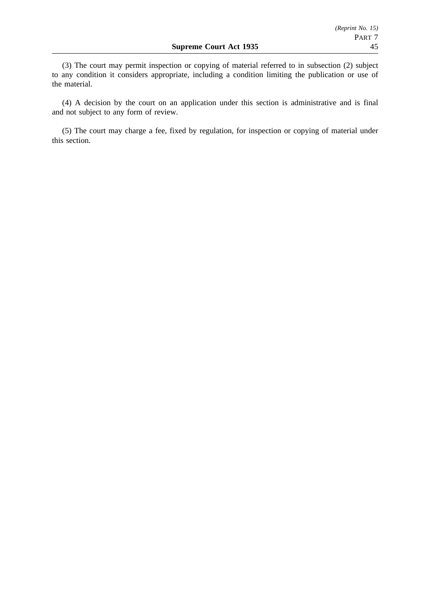(3) The court may permit inspection or copying of material referred to in subsection (2) subject to any condition it considers appropriate, including a condition limiting the publication or use of the material.

(4) A decision by the court on an application under this section is administrative and is final and not subject to any form of review.

(5) The court may charge a fee, fixed by regulation, for inspection or copying of material under this section.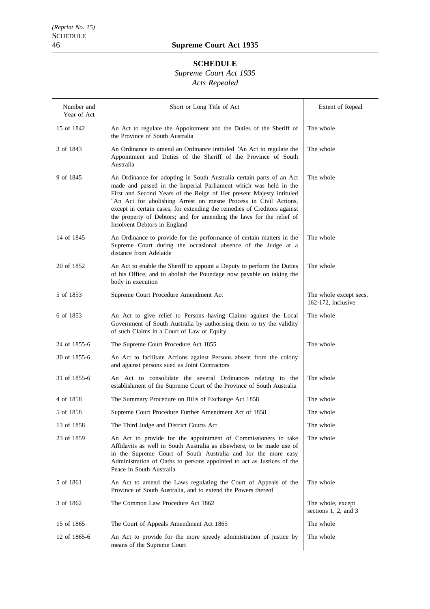## **SCHEDULE**

# *Supreme Court Act 1935*

# *Acts Repealed*

| Number and<br>Year of Act | Short or Long Title of Act                                                                                                                                                                                                                                                                                                                                                                                                                                               | Extent of Repeal                             |
|---------------------------|--------------------------------------------------------------------------------------------------------------------------------------------------------------------------------------------------------------------------------------------------------------------------------------------------------------------------------------------------------------------------------------------------------------------------------------------------------------------------|----------------------------------------------|
| 15 of 1842                | An Act to regulate the Appointment and the Duties of the Sheriff of<br>the Province of South Australia                                                                                                                                                                                                                                                                                                                                                                   | The whole                                    |
| 3 of 1843                 | An Ordinance to amend an Ordinance intituled "An Act to regulate the<br>Appointment and Duties of the Sheriff of the Province of South<br>Australia                                                                                                                                                                                                                                                                                                                      | The whole                                    |
| 9 of 1845                 | An Ordinance for adopting in South Australia certain parts of an Act<br>made and passed in the Imperial Parliament which was held in the<br>First and Second Years of the Reign of Her present Majesty intituled<br>"An Act for abolishing Arrest on mesne Process in Civil Actions,<br>except in certain cases; for extending the remedies of Creditors against<br>the property of Debtors; and for amending the laws for the relief of<br>Insolvent Debtors in England | The whole                                    |
| 14 of 1845                | An Ordinance to provide for the performance of certain matters in the<br>Supreme Court during the occasional absence of the Judge at a<br>distance from Adelaide                                                                                                                                                                                                                                                                                                         | The whole                                    |
| 20 of 1852                | An Act to enable the Sheriff to appoint a Deputy to perform the Duties<br>of his Office, and to abolish the Poundage now payable on taking the<br>body in execution                                                                                                                                                                                                                                                                                                      | The whole                                    |
| 5 of 1853                 | Supreme Court Procedure Amendment Act                                                                                                                                                                                                                                                                                                                                                                                                                                    | The whole except secs.<br>162-172, inclusive |
| 6 of 1853                 | An Act to give relief to Persons having Claims against the Local<br>Government of South Australia by authorising them to try the validity<br>of such Claims in a Court of Law or Equity                                                                                                                                                                                                                                                                                  | The whole                                    |
| 24 of 1855-6              | The Supreme Court Procedure Act 1855                                                                                                                                                                                                                                                                                                                                                                                                                                     | The whole                                    |
| 30 of 1855-6              | An Act to facilitate Actions against Persons absent from the colony<br>and against persons sued as Joint Contractors                                                                                                                                                                                                                                                                                                                                                     |                                              |
| 31 of 1855-6              | An Act to consolidate the several Ordinances relating to the<br>establishment of the Supreme Court of the Province of South Australia                                                                                                                                                                                                                                                                                                                                    | The whole                                    |
| 4 of 1858                 | The Summary Procedure on Bills of Exchange Act 1858                                                                                                                                                                                                                                                                                                                                                                                                                      | The whole                                    |
| 5 of 1858                 | Supreme Court Procedure Further Amendment Act of 1858                                                                                                                                                                                                                                                                                                                                                                                                                    | The whole                                    |
| 13 of 1858                | The Third Judge and District Courts Act                                                                                                                                                                                                                                                                                                                                                                                                                                  | The whole                                    |
| 23 of 1859                | An Act to provide for the appointment of Commissioners to take<br>Affidavits as well in South Australia as elsewhere, to be made use of<br>in the Supreme Court of South Australia and for the more easy<br>Administration of Oaths to persons appointed to act as Justices of the<br>Peace in South Australia                                                                                                                                                           | The whole                                    |
| 5 of 1861                 | An Act to amend the Laws regulating the Court of Appeals of the<br>Province of South Australia, and to extend the Powers thereof                                                                                                                                                                                                                                                                                                                                         | The whole                                    |
| 3 of 1862                 | The Common Law Procedure Act 1862                                                                                                                                                                                                                                                                                                                                                                                                                                        | The whole, except<br>sections 1, 2, and 3    |
| 15 of 1865                | The Court of Appeals Amendment Act 1865                                                                                                                                                                                                                                                                                                                                                                                                                                  | The whole                                    |
| 12 of 1865-6              | An Act to provide for the more speedy administration of justice by<br>means of the Supreme Court                                                                                                                                                                                                                                                                                                                                                                         | The whole                                    |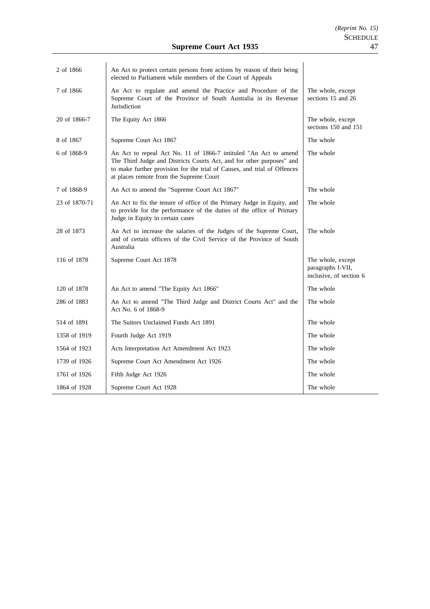| 2 of 1866     | An Act to protect certain persons from actions by reason of their being<br>elected to Parliament while members of the Court of Appeals                                                                                                                           |                                                                   |
|---------------|------------------------------------------------------------------------------------------------------------------------------------------------------------------------------------------------------------------------------------------------------------------|-------------------------------------------------------------------|
| 7 of 1866     | An Act to regulate and amend the Practice and Procedure of the<br>Supreme Court of the Province of South Australia in its Revenue<br>Jurisdiction                                                                                                                | The whole, except<br>sections 15 and 26                           |
| 20 of 1866-7  | The Equity Act 1866                                                                                                                                                                                                                                              | The whole, except<br>sections 150 and 151                         |
| 8 of 1867     | Supreme Court Act 1867                                                                                                                                                                                                                                           | The whole                                                         |
| 6 of 1868-9   | An Act to repeal Act No. 11 of 1866-7 intituled "An Act to amend<br>The Third Judge and Districts Courts Act, and for other purposes" and<br>to make further provision for the trial of Causes, and trial of Offences<br>at places remote from the Supreme Court | The whole                                                         |
| 7 of 1868-9   | An Act to amend the "Supreme Court Act 1867"                                                                                                                                                                                                                     | The whole                                                         |
| 23 of 1870-71 | An Act to fix the tenure of office of the Primary Judge in Equity, and<br>to provide for the performance of the duties of the office of Primary<br>Judge in Equity in certain cases                                                                              | The whole                                                         |
| 28 of 1873    | An Act to increase the salaries of the Judges of the Supreme Court,<br>and of certain officers of the Civil Service of the Province of South<br>Australia                                                                                                        | The whole                                                         |
| 116 of 1878   | Supreme Court Act 1878                                                                                                                                                                                                                                           | The whole, except<br>paragraphs I-VII,<br>inclusive, of section 6 |
| 120 of 1878   | An Act to amend "The Equity Act 1866"                                                                                                                                                                                                                            | The whole                                                         |
| 286 of 1883   | An Act to amend "The Third Judge and District Courts Act" and the<br>Act No. 6 of 1868-9                                                                                                                                                                         | The whole                                                         |
| 514 of 1891   | The Suitors Unclaimed Funds Act 1891                                                                                                                                                                                                                             | The whole                                                         |
| 1358 of 1919  | Fourth Judge Act 1919                                                                                                                                                                                                                                            | The whole                                                         |
| 1564 of 1923  | Acts Interpretation Act Amendment Act 1923                                                                                                                                                                                                                       | The whole                                                         |
| 1739 of 1926  | Supreme Court Act Amendment Act 1926                                                                                                                                                                                                                             | The whole                                                         |
| 1761 of 1926  | Fifth Judge Act 1926                                                                                                                                                                                                                                             | The whole                                                         |
| 1864 of 1928  | Supreme Court Act 1928                                                                                                                                                                                                                                           | The whole                                                         |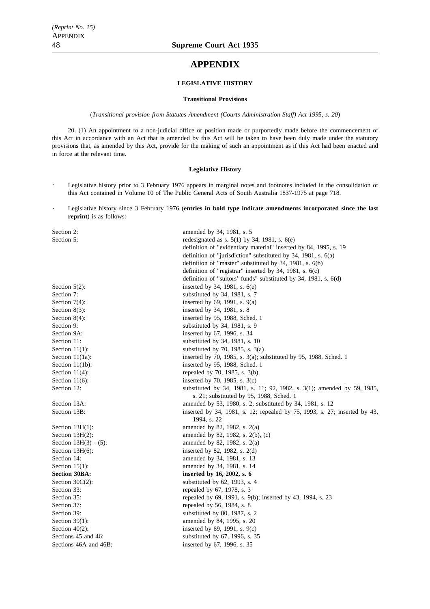## **APPENDIX**

#### **LEGISLATIVE HISTORY**

#### **Transitional Provisions**

(*Transitional provision from Statutes Amendment (Courts Administration Staff) Act 1995, s. 20*)

20. (1) An appointment to a non-judicial office or position made or purportedly made before the commencement of this Act in accordance with an Act that is amended by this Act will be taken to have been duly made under the statutory provisions that, as amended by this Act, provide for the making of such an appointment as if this Act had been enacted and in force at the relevant time.

#### **Legislative History**

- $\ddot{\phantom{0}}$ Legislative history prior to 3 February 1976 appears in marginal notes and footnotes included in the consolidation of this Act contained in Volume 10 of The Public General Acts of South Australia 1837-1975 at page 718.
- Legislative history since 3 February 1976 (**entries in bold type indicate amendments incorporated since the last**  $\ddot{\phantom{a}}$ **reprint**) is as follows:

| Section 2:               | amended by 34, 1981, s. 5                                                 |
|--------------------------|---------------------------------------------------------------------------|
| Section 5:               | redesignated as s. $5(1)$ by 34, 1981, s. $6(e)$                          |
|                          | definition of "evidentiary material" inserted by 84, 1995, s. 19          |
|                          | definition of "jurisdiction" substituted by $34$ , $1981$ , s. $6(a)$     |
|                          | definition of "master" substituted by 34, 1981, s. 6(b)                   |
|                          | definition of "registrar" inserted by 34, 1981, s. $6(c)$                 |
|                          | definition of "suitors' funds" substituted by 34, 1981, s. 6(d)           |
| Section $5(2)$ :         | inserted by 34, 1981, s. $6(e)$                                           |
| Section 7:               | substituted by 34, 1981, s. 7                                             |
| Section $7(4)$ :         | inserted by 69, 1991, s. 9(a)                                             |
| Section $8(3)$ :         | inserted by 34, 1981, s. 8                                                |
| Section $8(4)$ :         | inserted by 95, 1988, Sched. 1                                            |
| Section 9:               | substituted by 34, 1981, s. 9                                             |
| Section 9A:              | inserted by 67, 1996, s. 34                                               |
| Section 11:              | substituted by 34, 1981, s. 10                                            |
| Section $11(1)$ :        | substituted by 70, 1985, s. $3(a)$                                        |
| Section $11(1a)$ :       | inserted by 70, 1985, s. $3(a)$ ; substituted by 95, 1988, Sched. 1       |
| Section $11(1b)$ :       | inserted by 95, 1988, Sched. 1                                            |
| Section $11(4)$ :        | repealed by 70, 1985, s. 3(b)                                             |
| Section $11(6)$ :        | inserted by 70, 1985, s. $3(c)$                                           |
| Section 12:              | substituted by 34, 1981, s. 11; 92, 1982, s. 3(1); amended by 59, 1985,   |
|                          | s. 21; substituted by 95, 1988, Sched. 1                                  |
| Section 13A:             | amended by 53, 1980, s. 2; substituted by 34, 1981, s. 12                 |
| Section 13B:             | inserted by 34, 1981, s. 12; repealed by 75, 1993, s. 27; inserted by 43, |
|                          | 1994, s. 22                                                               |
| Section $13H(1)$ :       | amended by 82, 1982, s. 2(a)                                              |
| Section $13H(2)$ :       | amended by 82, 1982, s. 2(b), (c)                                         |
| Section $13H(3) - (5)$ : | amended by 82, 1982, s. 2(a)                                              |
| Section $13H(6)$ :       | inserted by 82, 1982, s. $2(d)$                                           |
| Section 14:              | amended by 34, 1981, s. 13                                                |
| Section $15(1)$ :        | amended by 34, 1981, s. 14                                                |
| <b>Section 30BA:</b>     | inserted by 16, 2002, s. 6                                                |
| Section $30C(2)$ :       | substituted by $62$ , 1993, s. 4                                          |
| Section 33:              | repealed by 67, 1978, s. 3                                                |
| Section 35:              | repealed by 69, 1991, s. 9(b); inserted by 43, 1994, s. 23                |
| Section 37:              | repealed by 56, 1984, s. 8                                                |
| Section 39:              | substituted by 80, 1987, s. 2                                             |
| Section $39(1)$ :        | amended by 84, 1995, s. 20                                                |
| Section $40(2)$ :        | inserted by $69$ , 1991, s. $9(c)$                                        |
| Sections 45 and 46:      | substituted by 67, 1996, s. 35                                            |
| Sections 46A and 46B:    | inserted by 67, 1996, s. 35                                               |
|                          |                                                                           |